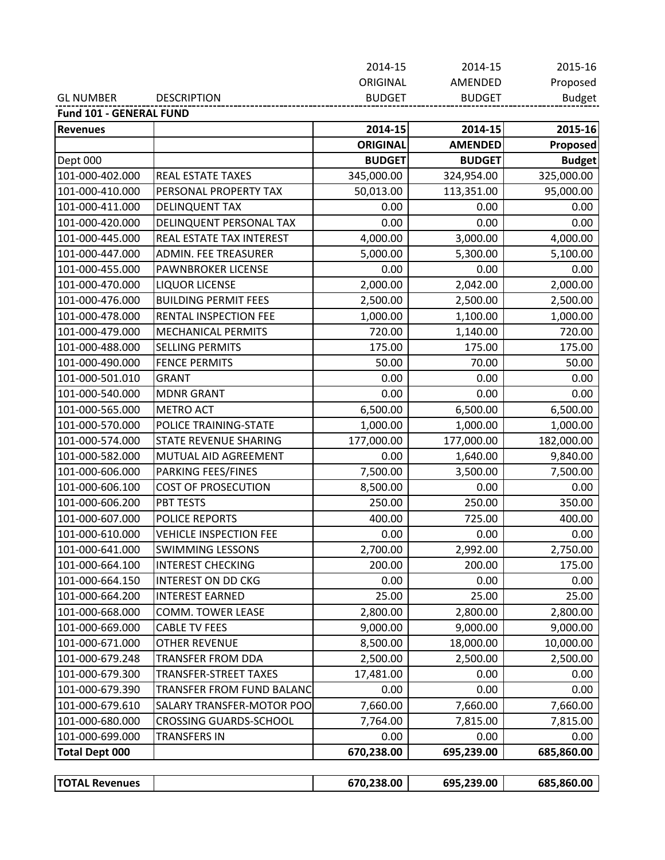| <b>GL NUMBER</b> | <b>DESCRIPTION</b> | <b>BUDGET</b> | BUDGET         | <b>Budget</b> |
|------------------|--------------------|---------------|----------------|---------------|
|                  |                    | ORIGINAL      | <b>AMENDED</b> | Proposed      |
|                  |                    | 2014-15       | 2014-15        | 2015-16       |

**Fund 101 ‐ GENERAL FUND**

| <b>Revenues</b>       |                               | 2014-15         | 2014-15        | 2015-16       |
|-----------------------|-------------------------------|-----------------|----------------|---------------|
|                       |                               | <b>ORIGINAL</b> | <b>AMENDED</b> | Proposed      |
| Dept 000              |                               | <b>BUDGET</b>   | <b>BUDGET</b>  | <b>Budget</b> |
| 101-000-402.000       | REAL ESTATE TAXES             | 345,000.00      | 324,954.00     | 325,000.00    |
| 101-000-410.000       | PERSONAL PROPERTY TAX         | 50,013.00       | 113,351.00     | 95,000.00     |
| 101-000-411.000       | <b>DELINQUENT TAX</b>         | 0.00            | 0.00           | 0.00          |
| 101-000-420.000       | DELINQUENT PERSONAL TAX       | 0.00            | 0.00           | 0.00          |
| 101-000-445.000       | REAL ESTATE TAX INTEREST      | 4,000.00        | 3,000.00       | 4,000.00      |
| 101-000-447.000       | ADMIN. FEE TREASURER          | 5,000.00        | 5,300.00       | 5,100.00      |
| 101-000-455.000       | PAWNBROKER LICENSE            | 0.00            | 0.00           | 0.00          |
| 101-000-470.000       | <b>LIQUOR LICENSE</b>         | 2,000.00        | 2,042.00       | 2,000.00      |
| 101-000-476.000       | <b>BUILDING PERMIT FEES</b>   | 2,500.00        | 2,500.00       | 2,500.00      |
| 101-000-478.000       | RENTAL INSPECTION FEE         | 1,000.00        | 1,100.00       | 1,000.00      |
| 101-000-479.000       | MECHANICAL PERMITS            | 720.00          | 1,140.00       | 720.00        |
| 101-000-488.000       | <b>SELLING PERMITS</b>        | 175.00          | 175.00         | 175.00        |
| 101-000-490.000       | <b>FENCE PERMITS</b>          | 50.00           | 70.00          | 50.00         |
| 101-000-501.010       | <b>GRANT</b>                  | 0.00            | 0.00           | 0.00          |
| 101-000-540.000       | <b>MDNR GRANT</b>             | 0.00            | 0.00           | 0.00          |
| 101-000-565.000       | <b>METRO ACT</b>              | 6,500.00        | 6,500.00       | 6,500.00      |
| 101-000-570.000       | POLICE TRAINING-STATE         | 1,000.00        | 1,000.00       | 1,000.00      |
| 101-000-574.000       | STATE REVENUE SHARING         | 177,000.00      | 177,000.00     | 182,000.00    |
| 101-000-582.000       | MUTUAL AID AGREEMENT          | 0.00            | 1,640.00       | 9,840.00      |
| 101-000-606.000       | PARKING FEES/FINES            | 7,500.00        | 3,500.00       | 7,500.00      |
| 101-000-606.100       | <b>COST OF PROSECUTION</b>    | 8,500.00        | 0.00           | 0.00          |
| 101-000-606.200       | PBT TESTS                     | 250.00          | 250.00         | 350.00        |
| 101-000-607.000       | <b>POLICE REPORTS</b>         | 400.00          | 725.00         | 400.00        |
| 101-000-610.000       | <b>VEHICLE INSPECTION FEE</b> | 0.00            | 0.00           | 0.00          |
| 101-000-641.000       | <b>SWIMMING LESSONS</b>       | 2,700.00        | 2,992.00       | 2,750.00      |
| 101-000-664.100       | <b>INTEREST CHECKING</b>      | 200.00          | 200.00         | 175.00        |
| 101-000-664.150       | <b>INTEREST ON DD CKG</b>     | 0.00            | 0.00           | 0.00          |
| 101-000-664.200       | <b>INTEREST EARNED</b>        | 25.00           | 25.00          | 25.00         |
| 101-000-668.000       | <b>COMM. TOWER LEASE</b>      | 2,800.00        | 2,800.00       | 2,800.00      |
| 101-000-669.000       | <b>CABLE TV FEES</b>          | 9,000.00        | 9,000.00       | 9,000.00      |
| 101-000-671.000       | <b>OTHER REVENUE</b>          | 8,500.00        | 18,000.00      | 10,000.00     |
| 101-000-679.248       | TRANSFER FROM DDA             | 2,500.00        | 2,500.00       | 2,500.00      |
| 101-000-679.300       | <b>TRANSFER-STREET TAXES</b>  | 17,481.00       | 0.00           | 0.00          |
| 101-000-679.390       | TRANSFER FROM FUND BALANC     | 0.00            | 0.00           | 0.00          |
| 101-000-679.610       | SALARY TRANSFER-MOTOR POO     | 7,660.00        | 7,660.00       | 7,660.00      |
| 101-000-680.000       | <b>CROSSING GUARDS-SCHOOL</b> | 7,764.00        | 7,815.00       | 7,815.00      |
| 101-000-699.000       | TRANSFERS IN                  | 0.00            | 0.00           | 0.00          |
| <b>Total Dept 000</b> |                               | 670,238.00      | 695,239.00     | 685,860.00    |
|                       |                               |                 |                |               |
| <b>TOTAL Revenues</b> |                               | 670,238.00      | 695,239.00     | 685,860.00    |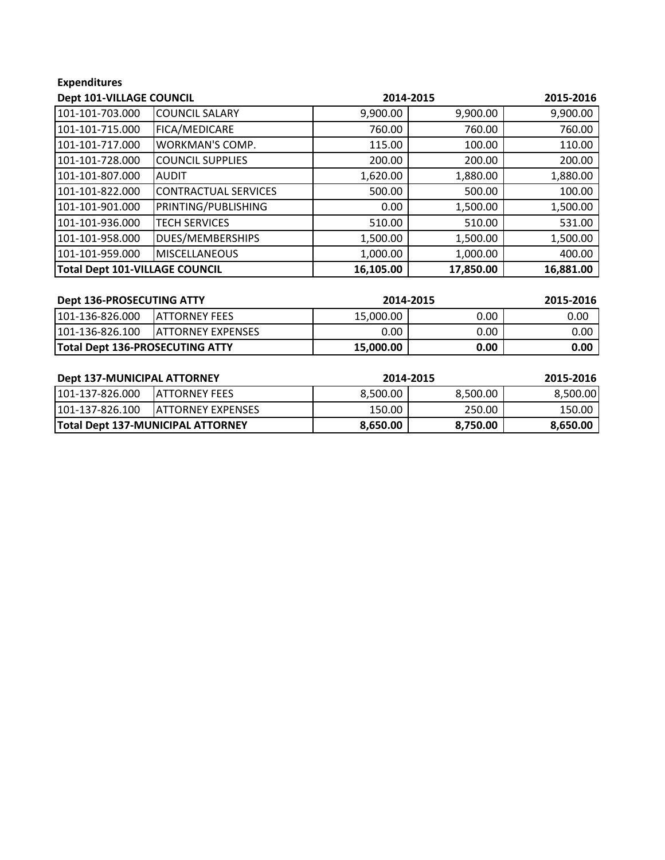## **Expenditures**

| Dept 101-VILLAGE COUNCIL       |                             | 2014-2015 |           | 2015-2016 |
|--------------------------------|-----------------------------|-----------|-----------|-----------|
| 101-101-703.000                | <b>COUNCIL SALARY</b>       | 9,900.00  | 9,900.00  | 9,900.00  |
| 101-101-715.000                | FICA/MEDICARE               | 760.00    | 760.00    | 760.00    |
| 101-101-717.000                | <b>WORKMAN'S COMP.</b>      | 115.00    | 100.00    | 110.00    |
| 101-101-728.000                | <b>COUNCIL SUPPLIES</b>     | 200.00    | 200.00    | 200.00    |
| 101-101-807.000                | <b>AUDIT</b>                | 1,620.00  | 1,880.00  | 1,880.00  |
| 101-101-822.000                | <b>CONTRACTUAL SERVICES</b> | 500.00    | 500.00    | 100.00    |
| 101-101-901.000                | PRINTING/PUBLISHING         | 0.00      | 1,500.00  | 1,500.00  |
| 101-101-936.000                | <b>TECH SERVICES</b>        | 510.00    | 510.00    | 531.00    |
| 101-101-958.000                | DUES/MEMBERSHIPS            | 1,500.00  | 1,500.00  | 1,500.00  |
| 101-101-959.000                | <b>MISCELLANEOUS</b>        | 1,000.00  | 1,000.00  | 400.00    |
| Total Dept 101-VILLAGE COUNCIL |                             | 16,105.00 | 17,850.00 | 16,881.00 |

| Dept 136-PROSECUTING ATTY              |                           | 2014-2015 |          | 2015-2016         |
|----------------------------------------|---------------------------|-----------|----------|-------------------|
| 101-136-826.000                        | <b>IATTORNEY FEES</b>     | 15.000.00 | $0.00\,$ | 0.00              |
| 101-136-826.100                        | <b>IATTORNEY EXPENSES</b> | 0.00      | 0.00     | $0.00\,$          |
| <b>Total Dept 136-PROSECUTING ATTY</b> |                           | 15,000.00 | 0.00     | 0.00 <sub>1</sub> |

| <b>Dept 137-MUNICIPAL ATTORNEY</b> |                                          | 2014-2015 |          | 2015-2016 |
|------------------------------------|------------------------------------------|-----------|----------|-----------|
| 101-137-826.000                    | IATTORNEY FEES                           | 8.500.00  | 8,500.00 | 8,500.00  |
| 101-137-826.100                    | <b>IATTORNEY EXPENSES</b>                | 150.00    | 250.00   | 150.00    |
|                                    | <b>Total Dept 137-MUNICIPAL ATTORNEY</b> | 8,650.00  | 8,750.00 | 8,650.00  |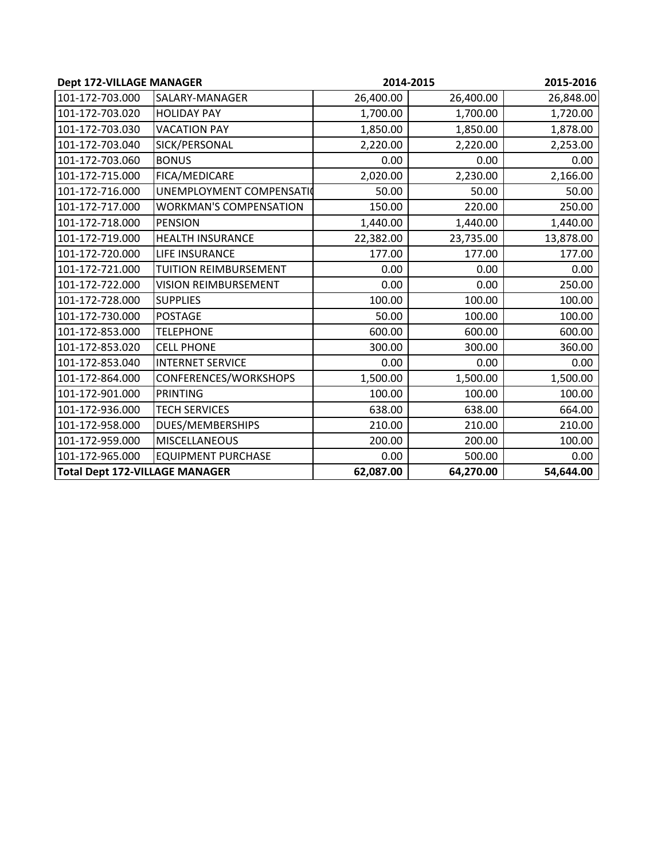| <b>Dept 172-VILLAGE MANAGER</b>       |                               | 2014-2015 |           | 2015-2016 |
|---------------------------------------|-------------------------------|-----------|-----------|-----------|
| 101-172-703.000                       | SALARY-MANAGER                | 26,400.00 | 26,400.00 | 26,848.00 |
| 101-172-703.020                       | <b>HOLIDAY PAY</b>            | 1,700.00  | 1,700.00  | 1,720.00  |
| 101-172-703.030                       | <b>VACATION PAY</b>           | 1,850.00  | 1,850.00  | 1,878.00  |
| 101-172-703.040                       | SICK/PERSONAL                 | 2,220.00  | 2,220.00  | 2,253.00  |
| 101-172-703.060                       | <b>BONUS</b>                  | 0.00      | 0.00      | 0.00      |
| 101-172-715.000                       | FICA/MEDICARE                 | 2,020.00  | 2,230.00  | 2,166.00  |
| 101-172-716.000                       | UNEMPLOYMENT COMPENSATIO      | 50.00     | 50.00     | 50.00     |
| 101-172-717.000                       | <b>WORKMAN'S COMPENSATION</b> | 150.00    | 220.00    | 250.00    |
| 101-172-718.000                       | <b>PENSION</b>                | 1,440.00  | 1,440.00  | 1,440.00  |
| 101-172-719.000                       | <b>HEALTH INSURANCE</b>       | 22,382.00 | 23,735.00 | 13,878.00 |
| 101-172-720.000                       | <b>LIFE INSURANCE</b>         | 177.00    | 177.00    | 177.00    |
| 101-172-721.000                       | TUITION REIMBURSEMENT         | 0.00      | 0.00      | 0.00      |
| 101-172-722.000                       | <b>VISION REIMBURSEMENT</b>   | 0.00      | 0.00      | 250.00    |
| 101-172-728.000                       | <b>SUPPLIES</b>               | 100.00    | 100.00    | 100.00    |
| 101-172-730.000                       | <b>POSTAGE</b>                | 50.00     | 100.00    | 100.00    |
| 101-172-853.000                       | <b>TELEPHONE</b>              | 600.00    | 600.00    | 600.00    |
| 101-172-853.020                       | <b>CELL PHONE</b>             | 300.00    | 300.00    | 360.00    |
| 101-172-853.040                       | <b>INTERNET SERVICE</b>       | 0.00      | 0.00      | 0.00      |
| 101-172-864.000                       | CONFERENCES/WORKSHOPS         | 1,500.00  | 1,500.00  | 1,500.00  |
| 101-172-901.000                       | PRINTING                      | 100.00    | 100.00    | 100.00    |
| 101-172-936.000                       | <b>TECH SERVICES</b>          | 638.00    | 638.00    | 664.00    |
| 101-172-958.000                       | DUES/MEMBERSHIPS              | 210.00    | 210.00    | 210.00    |
| 101-172-959.000                       | <b>MISCELLANEOUS</b>          | 200.00    | 200.00    | 100.00    |
| 101-172-965.000                       | <b>EQUIPMENT PURCHASE</b>     | 0.00      | 500.00    | 0.00      |
| <b>Total Dept 172-VILLAGE MANAGER</b> |                               | 62,087.00 | 64,270.00 | 54,644.00 |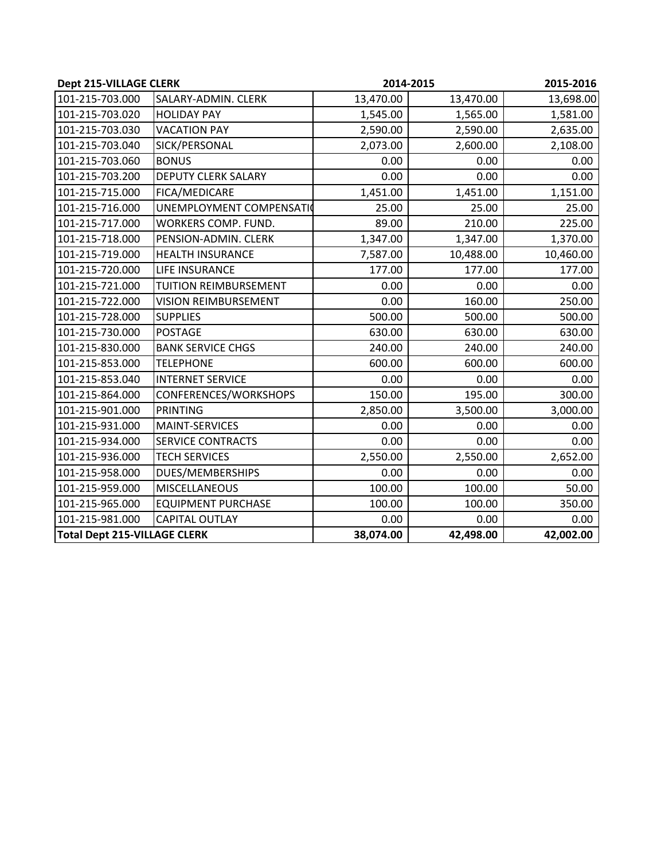| Dept 215-VILLAGE CLERK              |                              | 2014-2015 |           | 2015-2016 |
|-------------------------------------|------------------------------|-----------|-----------|-----------|
| 101-215-703.000                     | SALARY-ADMIN. CLERK          | 13,470.00 | 13,470.00 | 13,698.00 |
| 101-215-703.020                     | <b>HOLIDAY PAY</b>           | 1,545.00  | 1,565.00  | 1,581.00  |
| 101-215-703.030                     | <b>VACATION PAY</b>          | 2,590.00  | 2,590.00  | 2,635.00  |
| 101-215-703.040                     | SICK/PERSONAL                | 2,073.00  | 2,600.00  | 2,108.00  |
| 101-215-703.060                     | <b>BONUS</b>                 | 0.00      | 0.00      | 0.00      |
| 101-215-703.200                     | <b>DEPUTY CLERK SALARY</b>   | 0.00      | 0.00      | 0.00      |
| 101-215-715.000                     | FICA/MEDICARE                | 1,451.00  | 1,451.00  | 1,151.00  |
| 101-215-716.000                     | UNEMPLOYMENT COMPENSATIO     | 25.00     | 25.00     | 25.00     |
| 101-215-717.000                     | WORKERS COMP. FUND.          | 89.00     | 210.00    | 225.00    |
| 101-215-718.000                     | PENSION-ADMIN. CLERK         | 1,347.00  | 1,347.00  | 1,370.00  |
| 101-215-719.000                     | <b>HEALTH INSURANCE</b>      | 7,587.00  | 10,488.00 | 10,460.00 |
| 101-215-720.000                     | LIFE INSURANCE               | 177.00    | 177.00    | 177.00    |
| 101-215-721.000                     | <b>TUITION REIMBURSEMENT</b> | 0.00      | 0.00      | 0.00      |
| 101-215-722.000                     | <b>VISION REIMBURSEMENT</b>  | 0.00      | 160.00    | 250.00    |
| 101-215-728.000                     | <b>SUPPLIES</b>              | 500.00    | 500.00    | 500.00    |
| 101-215-730.000                     | <b>POSTAGE</b>               | 630.00    | 630.00    | 630.00    |
| 101-215-830.000                     | <b>BANK SERVICE CHGS</b>     | 240.00    | 240.00    | 240.00    |
| 101-215-853.000                     | <b>TELEPHONE</b>             | 600.00    | 600.00    | 600.00    |
| 101-215-853.040                     | <b>INTERNET SERVICE</b>      | 0.00      | 0.00      | 0.00      |
| 101-215-864.000                     | CONFERENCES/WORKSHOPS        | 150.00    | 195.00    | 300.00    |
| 101-215-901.000                     | <b>PRINTING</b>              | 2,850.00  | 3,500.00  | 3,000.00  |
| 101-215-931.000                     | <b>MAINT-SERVICES</b>        | 0.00      | 0.00      | 0.00      |
| 101-215-934.000                     | <b>SERVICE CONTRACTS</b>     | 0.00      | 0.00      | 0.00      |
| 101-215-936.000                     | <b>TECH SERVICES</b>         | 2,550.00  | 2,550.00  | 2,652.00  |
| 101-215-958.000                     | <b>DUES/MEMBERSHIPS</b>      | 0.00      | 0.00      | 0.00      |
| 101-215-959.000                     | <b>MISCELLANEOUS</b>         | 100.00    | 100.00    | 50.00     |
| 101-215-965.000                     | <b>EQUIPMENT PURCHASE</b>    | 100.00    | 100.00    | 350.00    |
| 101-215-981.000                     | <b>CAPITAL OUTLAY</b>        | 0.00      | 0.00      | 0.00      |
| <b>Total Dept 215-VILLAGE CLERK</b> |                              | 38,074.00 | 42,498.00 | 42,002.00 |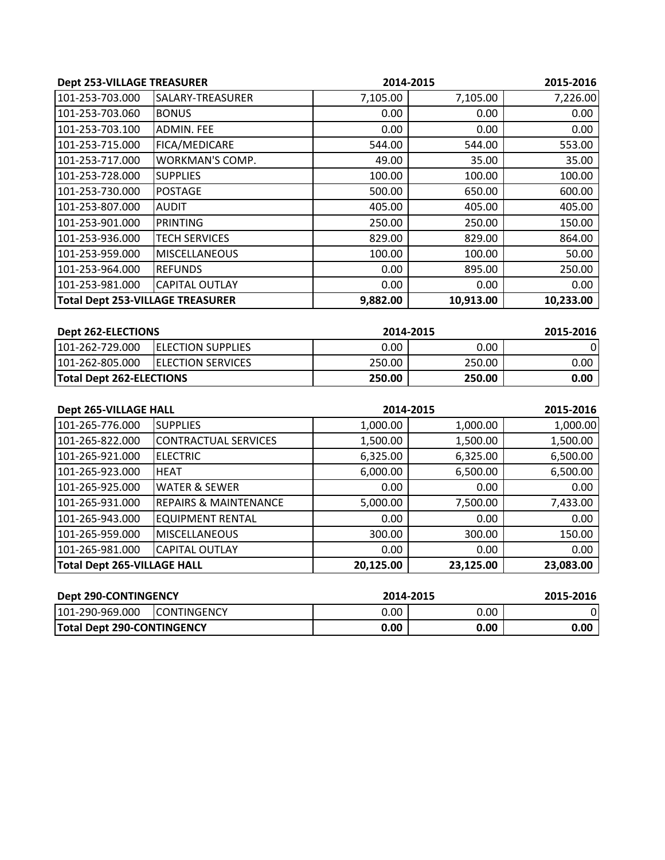| <b>Dept 253-VILLAGE TREASURER</b>       |                        |          | 2014-2015 | 2015-2016 |
|-----------------------------------------|------------------------|----------|-----------|-----------|
| 101-253-703.000                         | SALARY-TREASURER       | 7,105.00 | 7,105.00  | 7,226.00  |
| 101-253-703.060                         | <b>BONUS</b>           | 0.00     | 0.00      | 0.00      |
| 101-253-703.100                         | <b>ADMIN. FEE</b>      | 0.00     | 0.00      | 0.00      |
| 101-253-715.000                         | FICA/MEDICARE          | 544.00   | 544.00    | 553.00    |
| 101-253-717.000                         | <b>WORKMAN'S COMP.</b> | 49.00    | 35.00     | 35.00     |
| 101-253-728.000                         | <b>SUPPLIES</b>        | 100.00   | 100.00    | 100.00    |
| 101-253-730.000                         | <b>POSTAGE</b>         | 500.00   | 650.00    | 600.00    |
| 101-253-807.000                         | <b>AUDIT</b>           | 405.00   | 405.00    | 405.00    |
| 101-253-901.000                         | PRINTING               | 250.00   | 250.00    | 150.00    |
| 101-253-936.000                         | <b>TECH SERVICES</b>   | 829.00   | 829.00    | 864.00    |
| 101-253-959.000                         | <b>MISCELLANEOUS</b>   | 100.00   | 100.00    | 50.00     |
| 101-253-964.000                         | <b>REFUNDS</b>         | 0.00     | 895.00    | 250.00    |
| 101-253-981.000                         | <b>CAPITAL OUTLAY</b>  | 0.00     | 0.00      | 0.00      |
| <b>Total Dept 253-VILLAGE TREASURER</b> |                        | 9,882.00 | 10,913.00 | 10,233.00 |

| <b>Dept 262-ELECTIONS</b>       |                           | 2014-2015 |        | 2015-2016         |
|---------------------------------|---------------------------|-----------|--------|-------------------|
| 101-262-729.000                 | <b>IELECTION SUPPLIES</b> | 0.00      | 0.00   |                   |
| 101-262-805.000                 | <b>IELECTION SERVICES</b> | 250.00    | 250.00 | $0.00\,$          |
| <b>Total Dept 262-ELECTIONS</b> |                           | 250.00    | 250.00 | 0.00 <sub>1</sub> |

| <b>Dept 265-VILLAGE HALL</b>       |                                  |           | 2014-2015 |           |
|------------------------------------|----------------------------------|-----------|-----------|-----------|
| 101-265-776.000                    | <b>SUPPLIES</b>                  | 1,000.00  | 1,000.00  | 1,000.00  |
| 101-265-822.000                    | <b>CONTRACTUAL SERVICES</b>      | 1,500.00  | 1,500.00  | 1,500.00  |
| 101-265-921.000                    | <b>ELECTRIC</b>                  | 6,325.00  | 6,325.00  | 6,500.00  |
| 101-265-923.000                    | <b>HEAT</b>                      | 6,000.00  | 6,500.00  | 6,500.00  |
| 101-265-925.000                    | <b>WATER &amp; SEWER</b>         | 0.00      | 0.00      | 0.00      |
| 101-265-931.000                    | <b>REPAIRS &amp; MAINTENANCE</b> | 5,000.00  | 7,500.00  | 7,433.00  |
| 101-265-943.000                    | <b>EQUIPMENT RENTAL</b>          | 0.00      | 0.00      | 0.00      |
| 101-265-959.000                    | <b>MISCELLANEOUS</b>             | 300.00    | 300.00    | 150.00    |
| 101-265-981.000                    | <b>CAPITAL OUTLAY</b>            | 0.00      | 0.00      | 0.00      |
| <b>Total Dept 265-VILLAGE HALL</b> |                                  | 20,125.00 | 23,125.00 | 23,083.00 |

| <b>Dept 290-CONTINGENCY</b>       |                     | 2014-2015 |      | 2015-2016 |
|-----------------------------------|---------------------|-----------|------|-----------|
| 101-290-969.000                   | <b>ICONTINGENCY</b> | 0.00      | 0.00 |           |
| <b>Total Dept 290-CONTINGENCY</b> |                     | 0.00      | 0.00 | 0.00      |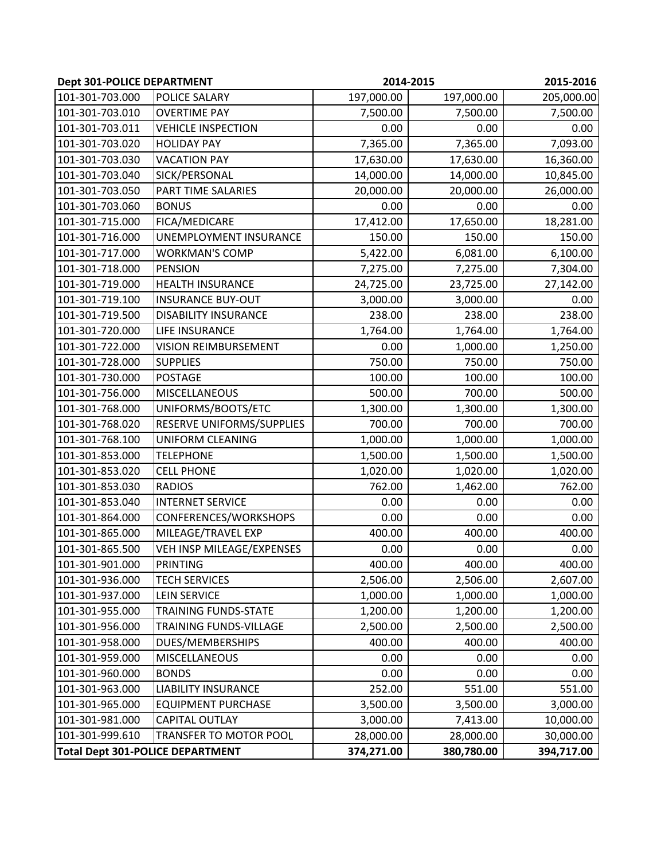| <b>Dept 301-POLICE DEPARTMENT</b> |                                         |            | 2014-2015  | 2015-2016  |
|-----------------------------------|-----------------------------------------|------------|------------|------------|
| 101-301-703.000                   | POLICE SALARY                           | 197,000.00 | 197,000.00 | 205,000.00 |
| 101-301-703.010                   | <b>OVERTIME PAY</b>                     | 7,500.00   | 7,500.00   | 7,500.00   |
| 101-301-703.011                   | <b>VEHICLE INSPECTION</b>               | 0.00       | 0.00       | 0.00       |
| 101-301-703.020                   | <b>HOLIDAY PAY</b>                      | 7,365.00   | 7,365.00   | 7,093.00   |
| 101-301-703.030                   | <b>VACATION PAY</b>                     | 17,630.00  | 17,630.00  | 16,360.00  |
| 101-301-703.040                   | SICK/PERSONAL                           | 14,000.00  | 14,000.00  | 10,845.00  |
| 101-301-703.050                   | <b>PART TIME SALARIES</b>               | 20,000.00  | 20,000.00  | 26,000.00  |
| 101-301-703.060                   | <b>BONUS</b>                            | 0.00       | 0.00       | 0.00       |
| 101-301-715.000                   | FICA/MEDICARE                           | 17,412.00  | 17,650.00  | 18,281.00  |
| 101-301-716.000                   | UNEMPLOYMENT INSURANCE                  | 150.00     | 150.00     | 150.00     |
| 101-301-717.000                   | <b>WORKMAN'S COMP</b>                   | 5,422.00   | 6,081.00   | 6,100.00   |
| 101-301-718.000                   | <b>PENSION</b>                          | 7,275.00   | 7,275.00   | 7,304.00   |
| 101-301-719.000                   | <b>HEALTH INSURANCE</b>                 | 24,725.00  | 23,725.00  | 27,142.00  |
| 101-301-719.100                   | <b>INSURANCE BUY-OUT</b>                | 3,000.00   | 3,000.00   | 0.00       |
| 101-301-719.500                   | <b>DISABILITY INSURANCE</b>             | 238.00     | 238.00     | 238.00     |
| 101-301-720.000                   | LIFE INSURANCE                          | 1,764.00   | 1,764.00   | 1,764.00   |
| 101-301-722.000                   | <b>VISION REIMBURSEMENT</b>             | 0.00       | 1,000.00   | 1,250.00   |
| 101-301-728.000                   | <b>SUPPLIES</b>                         | 750.00     | 750.00     | 750.00     |
| 101-301-730.000                   | <b>POSTAGE</b>                          | 100.00     | 100.00     | 100.00     |
| 101-301-756.000                   | <b>MISCELLANEOUS</b>                    | 500.00     | 700.00     | 500.00     |
| 101-301-768.000                   | UNIFORMS/BOOTS/ETC                      | 1,300.00   | 1,300.00   | 1,300.00   |
| 101-301-768.020                   | RESERVE UNIFORMS/SUPPLIES               | 700.00     | 700.00     | 700.00     |
| 101-301-768.100                   | <b>UNIFORM CLEANING</b>                 | 1,000.00   | 1,000.00   | 1,000.00   |
| 101-301-853.000                   | <b>TELEPHONE</b>                        | 1,500.00   | 1,500.00   | 1,500.00   |
| 101-301-853.020                   | <b>CELL PHONE</b>                       | 1,020.00   | 1,020.00   | 1,020.00   |
| 101-301-853.030                   | <b>RADIOS</b>                           | 762.00     | 1,462.00   | 762.00     |
| 101-301-853.040                   | <b>INTERNET SERVICE</b>                 | 0.00       | 0.00       | 0.00       |
| 101-301-864.000                   | CONFERENCES/WORKSHOPS                   | 0.00       | 0.00       | 0.00       |
| 101-301-865.000                   | MILEAGE/TRAVEL EXP                      | 400.00     | 400.00     | 400.00     |
| 101-301-865.500                   | VEH INSP MILEAGE/EXPENSES               | 0.00       | 0.00       | 0.00       |
| 101-301-901.000                   | <b>PRINTING</b>                         | 400.00     | 400.00     | 400.00     |
| 101-301-936.000                   | <b>TECH SERVICES</b>                    | 2,506.00   | 2,506.00   | 2,607.00   |
| 101-301-937.000                   | <b>LEIN SERVICE</b>                     | 1,000.00   | 1,000.00   | 1,000.00   |
| 101-301-955.000                   | <b>TRAINING FUNDS-STATE</b>             | 1,200.00   | 1,200.00   | 1,200.00   |
| 101-301-956.000                   | TRAINING FUNDS-VILLAGE                  | 2,500.00   | 2,500.00   | 2,500.00   |
| 101-301-958.000                   | DUES/MEMBERSHIPS                        | 400.00     | 400.00     | 400.00     |
| 101-301-959.000                   | <b>MISCELLANEOUS</b>                    | 0.00       | 0.00       | 0.00       |
| 101-301-960.000                   | <b>BONDS</b>                            | 0.00       | 0.00       | 0.00       |
| 101-301-963.000                   | <b>LIABILITY INSURANCE</b>              | 252.00     | 551.00     | 551.00     |
| 101-301-965.000                   | <b>EQUIPMENT PURCHASE</b>               | 3,500.00   | 3,500.00   | 3,000.00   |
| 101-301-981.000                   | CAPITAL OUTLAY                          | 3,000.00   | 7,413.00   | 10,000.00  |
| 101-301-999.610                   | TRANSFER TO MOTOR POOL                  | 28,000.00  | 28,000.00  | 30,000.00  |
|                                   | <b>Total Dept 301-POLICE DEPARTMENT</b> | 374,271.00 | 380,780.00 | 394,717.00 |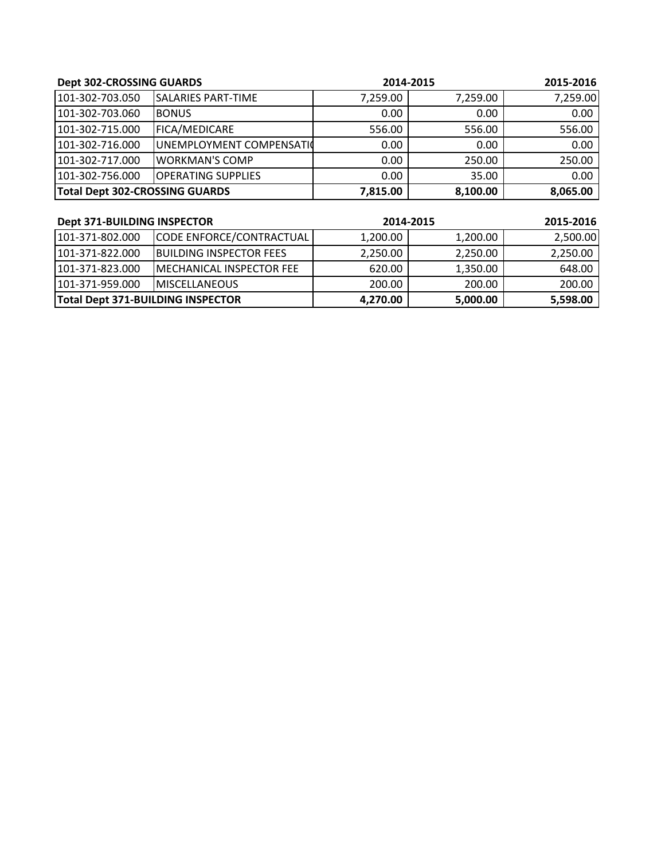| <b>Dept 302-CROSSING GUARDS</b>       |                           | 2014-2015 |          | 2015-2016 |
|---------------------------------------|---------------------------|-----------|----------|-----------|
| 101-302-703.050                       | <b>SALARIES PART-TIME</b> | 7,259.00  | 7,259.00 | 7,259.00  |
| 101-302-703.060                       | <b>BONUS</b>              | 0.00      | 0.00     | 0.00      |
| 101-302-715.000                       | FICA/MEDICARE             | 556.00    | 556.00   | 556.00    |
| 101-302-716.000                       | UNEMPLOYMENT COMPENSATIO  | 0.00      | 0.00     | 0.00      |
| 101-302-717.000                       | <b>WORKMAN'S COMP</b>     | 0.00      | 250.00   | 250.00    |
| 101-302-756.000                       | <b>OPERATING SUPPLIES</b> | 0.00      | 35.00    | 0.00      |
| <b>Total Dept 302-CROSSING GUARDS</b> |                           | 7,815.00  | 8,100.00 | 8,065.00  |

| <b>Dept 371-BUILDING INSPECTOR</b>       |                                 | 2014-2015 |          | 2015-2016 |
|------------------------------------------|---------------------------------|-----------|----------|-----------|
| 101-371-802.000                          | CODE ENFORCE/CONTRACTUAL        | 1,200.00  | 1,200.00 | 2,500.00  |
| 101-371-822.000                          | <b>IBUILDING INSPECTOR FEES</b> | 2,250.00  | 2,250.00 | 2,250.00  |
| 101-371-823.000                          | IMECHANICAL INSPECTOR FEE       | 620.00    | 1,350.00 | 648.00    |
| 101-371-959.000                          | <b>IMISCELLANEOUS</b>           | 200.00    | 200.00   | 200.00    |
| <b>Total Dept 371-BUILDING INSPECTOR</b> |                                 | 4,270.00  | 5,000.00 | 5,598.00  |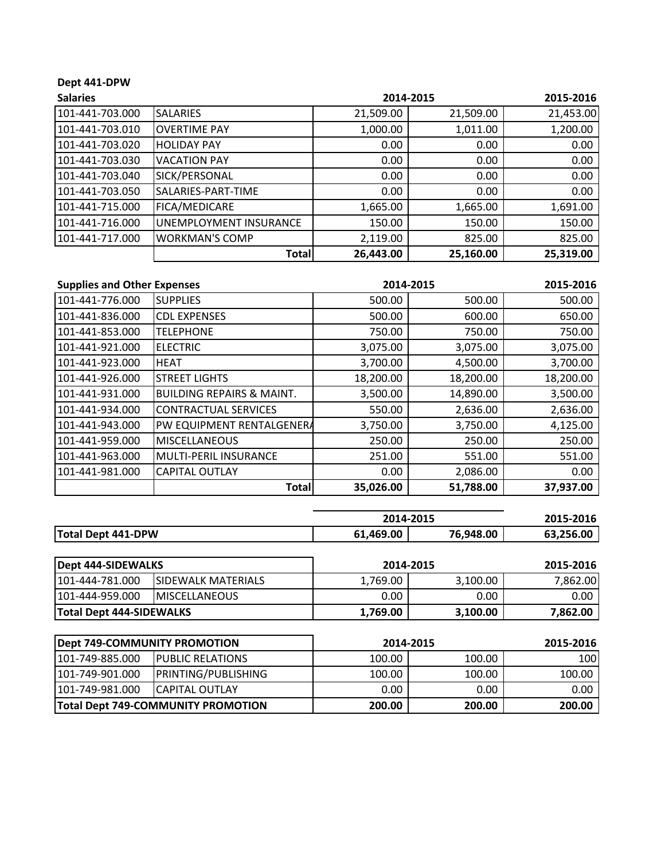## **Dept 441‐DPW**

| <b>Salaries</b> |                        |           | 2014-2015 | 2015-2016 |
|-----------------|------------------------|-----------|-----------|-----------|
| 101-441-703.000 | <b>SALARIES</b>        | 21,509.00 | 21,509.00 | 21,453.00 |
| 101-441-703.010 | <b>OVERTIME PAY</b>    | 1,000.00  | 1,011.00  | 1,200.00  |
| 101-441-703.020 | <b>HOLIDAY PAY</b>     | 0.00      | 0.00      | 0.00      |
| 101-441-703.030 | <b>VACATION PAY</b>    | 0.00      | 0.00      | 0.00      |
| 101-441-703.040 | SICK/PERSONAL          | 0.00      | 0.00      | 0.00      |
| 101-441-703.050 | SALARIES-PART-TIME     | 0.00      | 0.00      | 0.00      |
| 101-441-715.000 | FICA/MEDICARE          | 1,665.00  | 1,665.00  | 1,691.00  |
| 101-441-716.000 | UNEMPLOYMENT INSURANCE | 150.00    | 150.00    | 150.00    |
| 101-441-717.000 | <b>WORKMAN'S COMP</b>  | 2,119.00  | 825.00    | 825.00    |
|                 | <b>Total</b>           | 26,443.00 | 25,160.00 | 25,319.00 |

| <b>Supplies and Other Expenses</b> |                                      |           | 2014-2015 | 2015-2016 |
|------------------------------------|--------------------------------------|-----------|-----------|-----------|
| 101-441-776.000                    | <b>SUPPLIES</b>                      | 500.00    | 500.00    | 500.00    |
| 101-441-836.000                    | <b>CDL EXPENSES</b>                  | 500.00    | 600.00    | 650.00    |
| 101-441-853.000                    | <b>TELEPHONE</b>                     | 750.00    | 750.00    | 750.00    |
| 101-441-921.000                    | <b>ELECTRIC</b>                      | 3,075.00  | 3,075.00  | 3,075.00  |
| 101-441-923.000                    | <b>HEAT</b>                          | 3,700.00  | 4,500.00  | 3,700.00  |
| 101-441-926.000                    | <b>STREET LIGHTS</b>                 | 18,200.00 | 18,200.00 | 18,200.00 |
| 101-441-931.000                    | <b>BUILDING REPAIRS &amp; MAINT.</b> | 3,500.00  | 14,890.00 | 3,500.00  |
| 101-441-934.000                    | <b>CONTRACTUAL SERVICES</b>          | 550.00    | 2,636.00  | 2,636.00  |
| 101-441-943.000                    | PW EQUIPMENT RENTALGENERA            | 3,750.00  | 3,750.00  | 4,125.00  |
| 101-441-959.000                    | <b>MISCELLANEOUS</b>                 | 250.00    | 250.00    | 250.00    |
| 101-441-963.000                    | <b>MULTI-PERIL INSURANCE</b>         | 251.00    | 551.00    | 551.00    |
| 101-441-981.000                    | <b>CAPITAL OUTLAY</b>                | 0.00      | 2,086.00  | 0.00      |
|                                    | <b>Total</b>                         | 35,026.00 | 51,788.00 | 37,937.00 |

|                           | 2014-2015 | 2015-2016 |           |
|---------------------------|-----------|-----------|-----------|
| <b>Total Dept 441-DPW</b> | 61,469.00 | 76.948.00 | 63.256.00 |

| Dept 444-SIDEWALKS              |                            |          | 2014-2015 | 2015-2016 |
|---------------------------------|----------------------------|----------|-----------|-----------|
| 101-444-781.000                 | <b>ISIDEWALK MATERIALS</b> | 1,769.00 | 3,100.00  | 7,862.00  |
| 101-444-959.000                 | <b>IMISCELLANEOUS</b>      | 0.00     | 0.00      | $0.00$    |
| <b>Total Dept 444-SIDEWALKS</b> |                            | 1,769.00 | 3,100.00  | 7,862.00  |

| <b>Dept 749-COMMUNITY PROMOTION</b> |                                           | 2014-2015 |        | 2015-2016 |
|-------------------------------------|-------------------------------------------|-----------|--------|-----------|
| 101-749-885.000                     | <b>IPUBLIC RELATIONS</b>                  | 100.00    | 100.00 | 100I      |
| 101-749-901.000                     | <b>PRINTING/PUBLISHING</b>                | 100.00    | 100.00 | 100.00    |
| 101-749-981.000                     | <b>ICAPITAL OUTLAY</b>                    | 0.00      | 0.00   | 0.00      |
|                                     | <b>Total Dept 749-COMMUNITY PROMOTION</b> | 200.00    | 200.00 | 200.00    |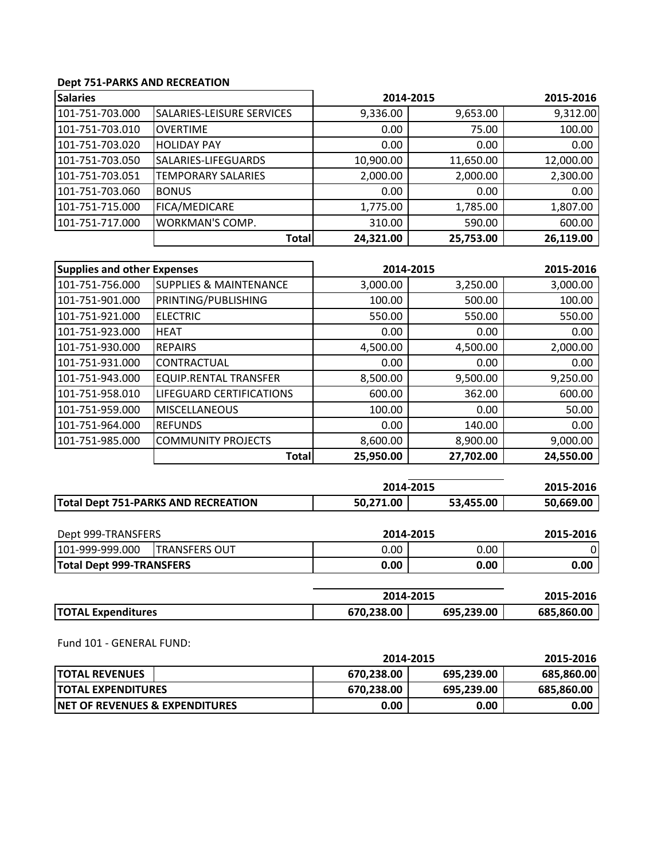## **Dept 751‐PARKS AND RECREATION**

| <b>Salaries</b> |                                  | 2014-2015 |           | 2015-2016 |
|-----------------|----------------------------------|-----------|-----------|-----------|
| 101-751-703.000 | <b>SALARIES-LEISURE SERVICES</b> | 9,336.00  | 9,653.00  | 9,312.00  |
| 101-751-703.010 | <b>OVERTIME</b>                  | 0.00      | 75.00     | 100.00    |
| 101-751-703.020 | <b>HOLIDAY PAY</b>               | 0.00      | 0.00      | 0.00      |
| 101-751-703.050 | SALARIES-LIFEGUARDS              | 10,900.00 | 11,650.00 | 12,000.00 |
| 101-751-703.051 | <b>TEMPORARY SALARIES</b>        | 2,000.00  | 2,000.00  | 2,300.00  |
| 101-751-703.060 | <b>BONUS</b>                     | 0.00      | 0.00      | 0.00      |
| 101-751-715.000 | FICA/MEDICARE                    | 1,775.00  | 1,785.00  | 1,807.00  |
| 101-751-717.000 | <b>WORKMAN'S COMP.</b>           | 310.00    | 590.00    | 600.00    |
|                 | Total                            | 24,321.00 | 25,753.00 | 26,119.00 |

| <b>Supplies and other Expenses</b> |                                   | 2014-2015 |           | 2015-2016 |
|------------------------------------|-----------------------------------|-----------|-----------|-----------|
| 101-751-756.000                    | <b>SUPPLIES &amp; MAINTENANCE</b> | 3,000.00  | 3,250.00  | 3,000.00  |
| 101-751-901.000                    | PRINTING/PUBLISHING               | 100.00    | 500.00    | 100.00    |
| 101-751-921.000                    | <b>ELECTRIC</b>                   | 550.00    | 550.00    | 550.00    |
| 101-751-923.000                    | IHEAT                             | 0.00      | 0.00      | 0.00      |
| 101-751-930.000                    | <b>REPAIRS</b>                    | 4,500.00  | 4,500.00  | 2,000.00  |
| 101-751-931.000                    | CONTRACTUAL                       | 0.00      | 0.00      | 0.00      |
| 101-751-943.000                    | <b>EQUIP.RENTAL TRANSFER</b>      | 8,500.00  | 9,500.00  | 9,250.00  |
| 101-751-958.010                    | LIFEGUARD CERTIFICATIONS          | 600.00    | 362.00    | 600.00    |
| 101-751-959.000                    | <b>MISCELLANEOUS</b>              | 100.00    | 0.00      | 50.00     |
| 101-751-964.000                    | <b>REFUNDS</b>                    | 0.00      | 140.00    | 0.00      |
| 101-751-985.000                    | <b>COMMUNITY PROJECTS</b>         | 8,600.00  | 8,900.00  | 9,000.00  |
|                                    | <b>Total</b>                      | 25,950.00 | 27,702.00 | 24,550.00 |

|                                            | 2014-2015 |           | 2015-2016 |  |
|--------------------------------------------|-----------|-----------|-----------|--|
| <b>Total Dept 751-PARKS AND RECREATION</b> | 50.271.00 | 53.455.00 |           |  |
|                                            |           |           |           |  |

| Dept 999-TRANSFERS              |                       |      | 2014-2015 | 2015-2016 |
|---------------------------------|-----------------------|------|-----------|-----------|
| 101-999-999.000                 | <b>ITRANSFERS OUT</b> | 0.00 | 0.00      |           |
| <b>Total Dept 999-TRANSFERS</b> |                       | 0.00 | 0.00      | 0.00      |

|                           | 2014-2015  |            | 2015-2016  |
|---------------------------|------------|------------|------------|
| <b>TOTAL Expenditures</b> | 670,238.00 | 695,239.00 | 685.860.00 |

Fund 101 ‐ GENERAL FUND:

|                                            | 2014-2015  |            | 2015-2016         |
|--------------------------------------------|------------|------------|-------------------|
| <b>TOTAL REVENUES</b>                      | 670,238.00 | 695,239.00 | 685,860.00        |
| <b>ITOTAL EXPENDITURES</b>                 | 670,238.00 | 695.239.00 | 685,860.00        |
| <b>INET OF REVENUES &amp; EXPENDITURES</b> | 0.00       | 0.00       | 0.00 <sub>1</sub> |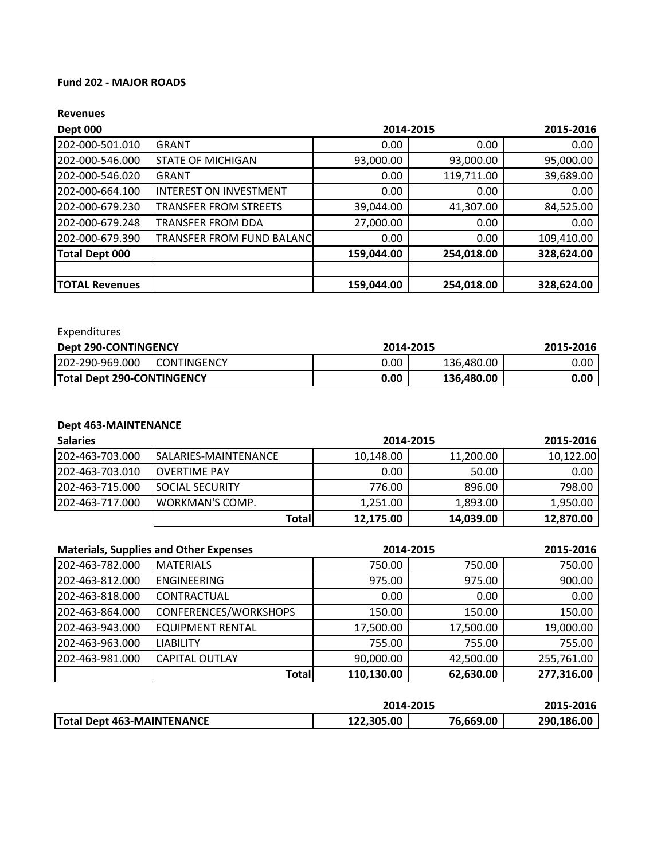### **Fund 202 ‐ MAJOR ROADS**

#### **Revenues**

| <b>Dept 000</b>       |                                  | 2014-2015<br>2015-2016 |            |            |
|-----------------------|----------------------------------|------------------------|------------|------------|
| 202-000-501.010       | GRANT                            | 0.00                   | 0.00       | 0.00       |
| 202-000-546.000       | <b>STATE OF MICHIGAN</b>         | 93,000.00              | 93,000.00  | 95,000.00  |
| 202-000-546.020       | <b>GRANT</b>                     | 0.00                   | 119,711.00 | 39,689.00  |
| 202-000-664.100       | <b>INTEREST ON INVESTMENT</b>    | 0.00                   | 0.00       | 0.00       |
| 202-000-679.230       | <b>TRANSFER FROM STREETS</b>     | 39,044.00              | 41,307.00  | 84,525.00  |
| 202-000-679.248       | TRANSFER FROM DDA                | 27,000.00              | 0.00       | 0.00       |
| 202-000-679.390       | <b>TRANSFER FROM FUND BALANC</b> | 0.00                   | 0.00       | 109,410.00 |
| Total Dept 000        |                                  | 159,044.00             | 254,018.00 | 328,624.00 |
|                       |                                  |                        |            |            |
| <b>TOTAL Revenues</b> |                                  | 159,044.00             | 254,018.00 | 328,624.00 |

Expenditures

| <b>Dept 290-CONTINGENCY</b>       | 2014-2015           |      | 2015-2016  |        |
|-----------------------------------|---------------------|------|------------|--------|
| 202-290-969.000                   | <b>ICONTINGENCY</b> | 0.00 | 136,480.00 | 0.00 I |
| <b>Total Dept 290-CONTINGENCY</b> |                     | 0.00 | 136,480.00 | 0.00   |

## **Dept 463‐MAINTENANCE**

| <b>Salaries</b>  |                         | 2014-2015 |           | 2015-2016 |
|------------------|-------------------------|-----------|-----------|-----------|
| 202-463-703.000  | ISALARIES-MAINTENANCE   | 10,148.00 | 11,200.00 | 10,122.00 |
| 202-463-703.010  | <b>IOVERTIME PAY</b>    | 0.00      | 50.00     | 0.00      |
| 202-463-715.000  | <b>ISOCIAL SECURITY</b> | 776.00    | 896.00    | 798.00    |
| 1202-463-717.000 | <b>IWORKMAN'S COMP.</b> | 1,251.00  | 1,893.00  | 1,950.00  |
|                  | Totall                  | 12,175.00 | 14,039.00 | 12,870.00 |

| <b>Materials, Supplies and Other Expenses</b> |                         | 2014-2015  |           | 2015-2016  |
|-----------------------------------------------|-------------------------|------------|-----------|------------|
| 202-463-782.000                               | <b>MATERIALS</b>        | 750.00     | 750.00    | 750.00     |
| 202-463-812.000                               | <b>ENGINEERING</b>      | 975.00     | 975.00    | 900.00     |
| 202-463-818.000                               | ICONTRACTUAL            | 0.00       | 0.00      | 0.00       |
| 202-463-864.000                               | CONFERENCES/WORKSHOPS   | 150.00     | 150.00    | 150.00     |
| 202-463-943.000                               | <b>EQUIPMENT RENTAL</b> | 17,500.00  | 17,500.00 | 19,000.00  |
| 202-463-963.000                               | <b>LIABILITY</b>        | 755.00     | 755.00    | 755.00     |
| 202-463-981.000                               | <b>CAPITAL OUTLAY</b>   | 90,000.00  | 42,500.00 | 255,761.00 |
|                                               | <b>Total</b>            | 110,130.00 | 62,630.00 | 277,316.00 |

|                                   | 2014-2015  |           | 2015-2016  |
|-----------------------------------|------------|-----------|------------|
| <b>Total Dept 463-MAINTENANCE</b> | 122,305.00 | 76,669.00 | 290,186.00 |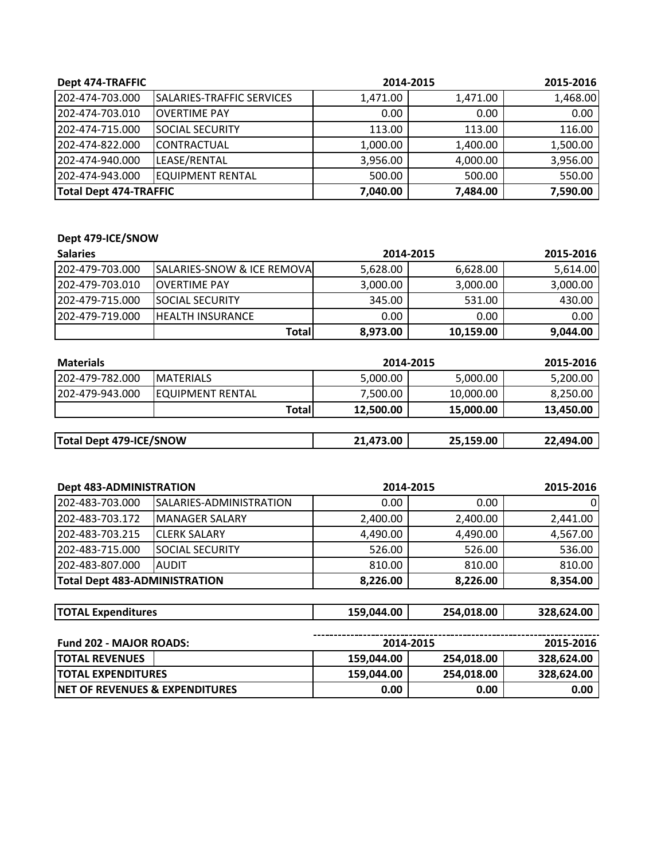| Dept 474-TRAFFIC              |                           | 2014-2015 |          | 2015-2016 |
|-------------------------------|---------------------------|-----------|----------|-----------|
| 202-474-703.000               | SALARIES-TRAFFIC SERVICES | 1,471.00  | 1,471.00 | 1,468.00  |
| 202-474-703.010               | <b>OVERTIME PAY</b>       | 0.00      | 0.00     | 0.00      |
| 1202-474-715.000              | <b>ISOCIAL SECURITY</b>   | 113.00    | 113.00   | 116.00    |
| 202-474-822.000               | <b>CONTRACTUAL</b>        | 1,000.00  | 1,400.00 | 1,500.00  |
| 202-474-940.000               | LEASE/RENTAL              | 3,956.00  | 4,000.00 | 3,956.00  |
| 1202-474-943.000              | <b>EQUIPMENT RENTAL</b>   | 500.00    | 500.00   | 550.00    |
| <b>Total Dept 474-TRAFFIC</b> |                           | 7,040.00  | 7,484.00 | 7,590.00  |

## **Dept 479‐ICE/SNOW**

| <b>Salaries</b>  |                                         | 2014-2015 |           | 2015-2016 |
|------------------|-----------------------------------------|-----------|-----------|-----------|
| 202-479-703.000  | <b>ISALARIES-SNOW &amp; ICE REMOVAL</b> | 5,628.00  | 6,628.00  | 5,614.00  |
| 1202-479-703.010 | <b>IOVERTIME PAY</b>                    | 3,000.00  | 3,000.00  | 3,000.00  |
| 1202-479-715.000 | <b>ISOCIAL SECURITY</b>                 | 345.00    | 531.00    | 430.00    |
| 1202-479-719.000 | <b>IHEALTH INSURANCE</b>                | 0.00      | 0.00      | 0.00      |
|                  | Totall                                  | 8,973.00  | 10,159.00 | 9,044.00  |

| <b>Materials</b>               |                          | 2014-2015 | 2015-2016 |           |           |
|--------------------------------|--------------------------|-----------|-----------|-----------|-----------|
| 202-479-782.000                | <b>IMATERIALS</b>        |           | 5,000.00  | 5,000.00  | 5,200.00  |
| 1202-479-943.000               | <b>IEQUIPMENT RENTAL</b> |           | 7,500.00  | 10,000.00 | 8,250.00  |
|                                |                          | Totall    | 12,500.00 | 15,000.00 | 13,450.00 |
|                                |                          |           |           |           |           |
| <b>Total Dept 479-ICE/SNOW</b> |                          |           | 21,473.00 | 25,159.00 | 22,494.00 |

| <b>Dept 483-ADMINISTRATION</b>       |                         | 2014-2015  |            | 2015-2016  |
|--------------------------------------|-------------------------|------------|------------|------------|
| 202-483-703.000                      | SALARIES-ADMINISTRATION | 0.00       | 0.00       | 0          |
| 202-483-703.172                      | <b>MANAGER SALARY</b>   | 2,400.00   | 2,400.00   | 2,441.00   |
| 202-483-703.215                      | <b>CLERK SALARY</b>     | 4,490.00   | 4,490.00   | 4,567.00   |
| 202-483-715.000                      | <b>SOCIAL SECURITY</b>  | 526.00     | 526.00     | 536.00     |
| 202-483-807.000                      | <b>AUDIT</b>            | 810.00     | 810.00     | 810.00     |
| <b>Total Dept 483-ADMINISTRATION</b> |                         | 8,226.00   | 8,226.00   | 8,354.00   |
| <b>TOTAL Expenditures</b>            |                         | 159,044.00 | 254,018.00 | 328,624.00 |
|                                      |                         |            |            |            |

| <b>Fund 202 - MAJOR ROADS:</b>             |            | 2014-2015  |                   |
|--------------------------------------------|------------|------------|-------------------|
| <b>ITOTAL REVENUES</b>                     | 159,044.00 | 254,018.00 | 328.624.00        |
| <b>ITOTAL EXPENDITURES</b>                 | 159,044.00 | 254,018.00 | 328.624.00        |
| <b>INET OF REVENUES &amp; EXPENDITURES</b> | 0.00       | 0.00       | 0.00 <sub>1</sub> |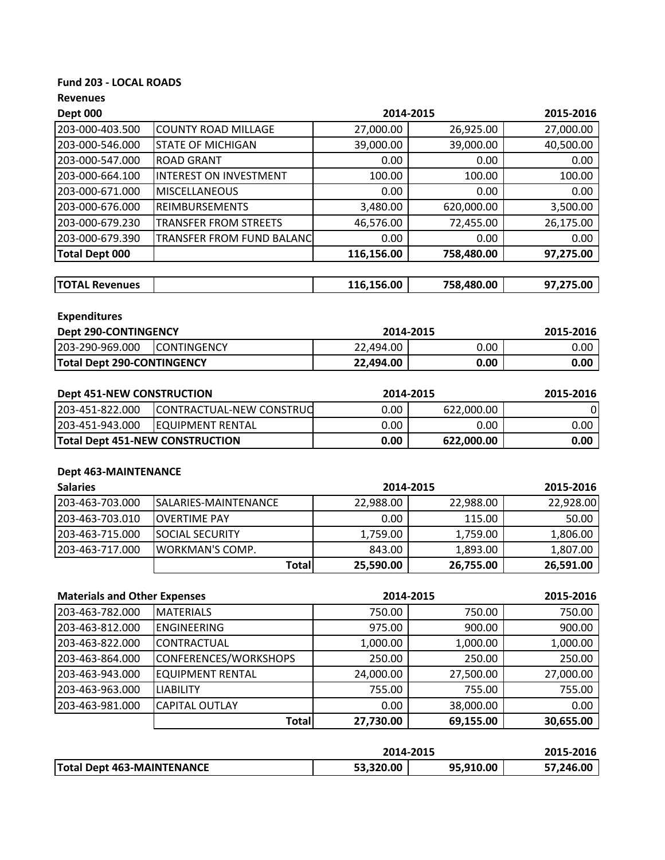## **Fund 203 ‐ LOCAL ROADS**

| <b>Dept 000</b>                     |                                        | 2014-2015  |            | 2015-2016 |
|-------------------------------------|----------------------------------------|------------|------------|-----------|
| 203-000-403.500                     | <b>COUNTY ROAD MILLAGE</b>             | 27,000.00  | 26,925.00  | 27,000.00 |
| 203-000-546.000                     | <b>STATE OF MICHIGAN</b>               | 39,000.00  | 39,000.00  | 40,500.00 |
| 203-000-547.000                     | <b>ROAD GRANT</b>                      | 0.00       | 0.00       | 0.00      |
| 203-000-664.100                     | <b>INTEREST ON INVESTMENT</b>          | 100.00     | 100.00     | 100.00    |
| 203-000-671.000                     | <b>MISCELLANEOUS</b>                   | 0.00       | 0.00       | 0.00      |
| 203-000-676.000                     | <b>REIMBURSEMENTS</b>                  | 3,480.00   | 620,000.00 | 3,500.00  |
| 203-000-679.230                     | <b>TRANSFER FROM STREETS</b>           | 46,576.00  | 72,455.00  | 26,175.00 |
| 203-000-679.390                     | TRANSFER FROM FUND BALANC              | 0.00       | 0.00       | 0.00      |
| <b>Total Dept 000</b>               |                                        | 116,156.00 | 758,480.00 | 97,275.00 |
| <b>TOTAL Revenues</b>               |                                        | 116,156.00 | 758,480.00 | 97,275.00 |
| <b>Expenditures</b>                 |                                        |            |            |           |
| Dept 290-CONTINGENCY                |                                        | 2014-2015  |            | 2015-2016 |
| 203-290-969.000                     | <b>CONTINGENCY</b>                     | 22,494.00  | 0.00       | 0.00      |
| <b>Total Dept 290-CONTINGENCY</b>   |                                        | 22,494.00  | 0.00       | 0.00      |
|                                     |                                        |            |            |           |
| <b>Dept 451-NEW CONSTRUCTION</b>    |                                        | 2014-2015  |            | 2015-2016 |
| 203-451-822.000                     | CONTRACTUAL-NEW CONSTRUC               | 0.00       | 622,000.00 |           |
| 203-451-943.000                     | <b>EQUIPMENT RENTAL</b>                | 0.00       | 0.00       | 0.00      |
|                                     | <b>Total Dept 451-NEW CONSTRUCTION</b> | 0.00       | 622,000.00 | 0.00      |
|                                     |                                        |            |            |           |
| <b>Dept 463-MAINTENANCE</b>         |                                        |            |            |           |
| <b>Salaries</b>                     |                                        | 2014-2015  |            | 2015-2016 |
| 203-463-703.000                     | SALARIES-MAINTENANCE                   | 22,988.00  | 22,988.00  | 22,928.00 |
| 203-463-703.010                     | <b>OVERTIME PAY</b>                    | 0.00       | 115.00     | 50.00     |
| 203-463-715.000                     | <b>SOCIAL SECURITY</b>                 | 1,759.00   | 1,759.00   | 1,806.00  |
| 203-463-717.000                     | WORKMAN'S COMP.                        | 843.00     | 1,893.00   | 1,807.00  |
|                                     | <b>Total</b>                           | 25,590.00  | 26,755.00  | 26,591.00 |
| <b>Materials and Other Expenses</b> |                                        | 2014-2015  |            | 2015-2016 |
| 203-463-782.000                     | <b>MATERIALS</b>                       | 750.00     | 750.00     | 750.00    |
| 203-463-812.000                     | <b>ENGINEERING</b>                     | 975.00     | 900.00     | 900.00    |
| $202.452.022.00$                    | $CQN1}TQRT1111$                        | 1.00000    | 100000     | 100000    |

|                  | Totall                 | 27,730.00       | 69,155.00 | 30,655.00 |
|------------------|------------------------|-----------------|-----------|-----------|
| 1203-463-981.000 | <b>ICAPITAL OUTLAY</b> | 0.00            | 38,000.00 | 0.00      |
| 203-463-963.000  | <b>LIABILITY</b>       | 755.00          | 755.00    | 755.00    |
| 203-463-943.000  | IEQUIPMENT RENTAL      | 24,000.00       | 27,500.00 | 27,000.00 |
| 203-463-864.000  | CONFERENCES/WORKSHOPS  | 250.00          | 250.00    | 250.00    |
| 203-463-822.000  | ICONTRACTUAL           | 1,000.00        | 1,000.00  | 1,000.00  |
| LUJ TUJ UIL.UUU  | <b>LIVUIIVLLIVIIVU</b> | <i>JI J</i> .VV | JUU.UU    | JUU.UU    |

|                                   | 2014-2015 | 2015-2016 |           |
|-----------------------------------|-----------|-----------|-----------|
| <b>Total Dept 463-MAINTENANCE</b> | 53,320.00 | 95,910.00 | 57,246.00 |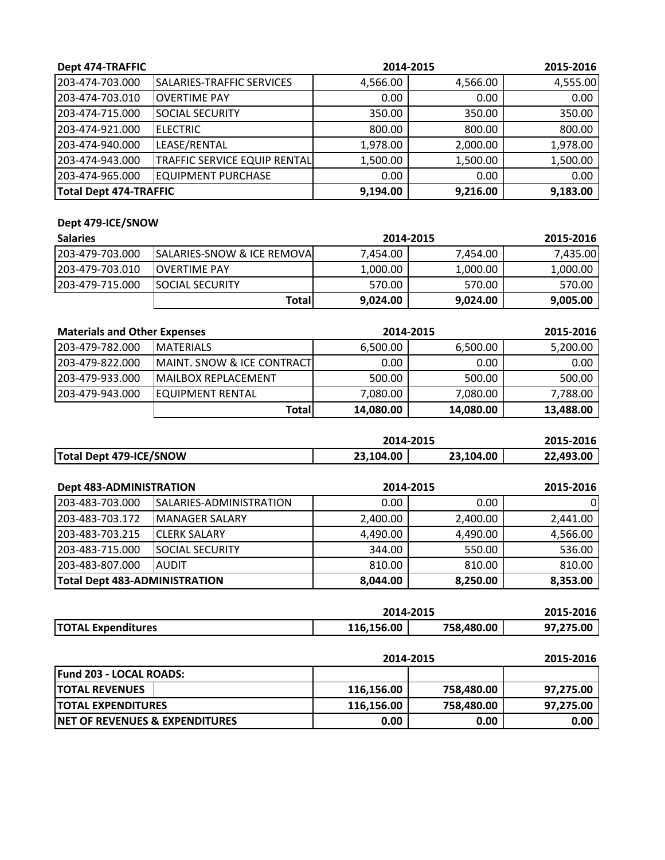| Dept 474-TRAFFIC       |                                     |          | 2014-2015 | 2015-2016 |
|------------------------|-------------------------------------|----------|-----------|-----------|
| 203-474-703.000        | SALARIES-TRAFFIC SERVICES           | 4,566.00 | 4,566.00  | 4,555.00  |
| 203-474-703.010        | <b>IOVERTIME PAY</b>                | 0.00     | 0.00      | 0.00      |
| 203-474-715.000        | <b>SOCIAL SECURITY</b>              | 350.00   | 350.00    | 350.00    |
| 203-474-921.000        | <b>ELECTRIC</b>                     | 800.00   | 800.00    | 800.00    |
| 203-474-940.000        | LEASE/RENTAL                        | 1,978.00 | 2,000.00  | 1,978.00  |
| 203-474-943.000        | <b>TRAFFIC SERVICE EQUIP RENTAL</b> | 1,500.00 | 1,500.00  | 1,500.00  |
| 203-474-965.000        | <b>EQUIPMENT PURCHASE</b>           | 0.00     | 0.00      | 0.00      |
| Total Dept 474-TRAFFIC |                                     | 9,194.00 | 9,216.00  | 9,183.00  |

## **Dept 479‐ICE/SNOW**

| <b>Salaries</b>  |                                         | 2014-2015 |          | 2015-2016 |
|------------------|-----------------------------------------|-----------|----------|-----------|
| 1203-479-703.000 | <b>ISALARIES-SNOW &amp; ICE REMOVAL</b> | 7.454.00  | 7.454.00 | 7,435.00  |
| 1203-479-703.010 | <b>IOVERTIME PAY</b>                    | 1,000.00  | 1,000.00 | 1,000.00  |
| 1203-479-715.000 | <b>ISOCIAL SECURITY</b>                 | 570.00    | 570.00   | 570.00    |
|                  | Totall                                  | 9,024.00  | 9,024.00 | 9,005.00  |

| <b>Materials and Other Expenses</b> |                                       | 2014-2015 |           | 2015-2016 |
|-------------------------------------|---------------------------------------|-----------|-----------|-----------|
| 203-479-782.000                     | <b>IMATERIALS</b>                     | 6,500.00  | 6,500.00  | 5,200.00  |
| 1203-479-822.000                    | <b>MAINT. SNOW &amp; ICE CONTRACT</b> | 0.00      | 0.00      | 0.00      |
| 1203-479-933.000                    | IMAILBOX REPLACEMENT                  | 500.00    | 500.00    | 500.00    |
| 1203-479-943.000                    | <b>EQUIPMENT RENTAL</b>               | 7,080.00  | 7,080.00  | 7,788.00  |
|                                     | Totall                                | 14,080.00 | 14,080.00 | 13,488.00 |

|                         | 2014-2015 | 2015-2016 |           |
|-------------------------|-----------|-----------|-----------|
| Total Dept 479-ICE/SNOW | 23,104.00 | 23.104.00 | 22.493.00 |

| <b>Dept 483-ADMINISTRATION</b>       |                                |          | 2014-2015 |          |
|--------------------------------------|--------------------------------|----------|-----------|----------|
| 203-483-703.000                      | <b>SALARIES-ADMINISTRATION</b> | 0.00     | 0.00      |          |
| 1203-483-703.172                     | <b>IMANAGER SALARY</b>         | 2,400.00 | 2,400.00  | 2,441.00 |
| 1203-483-703.215                     | <b>ICLERK SALARY</b>           | 4,490.00 | 4,490.00  | 4,566.00 |
| 203-483-715.000                      | <b>ISOCIAL SECURITY</b>        | 344.00   | 550.00    | 536.00   |
| 203-483-807.000                      | <b>AUDIT</b>                   | 810.00   | 810.00    | 810.00   |
| <b>Total Dept 483-ADMINISTRATION</b> |                                | 8,044.00 | 8,250.00  | 8,353.00 |

|                           | 2014-2015  | 2015-2016  |           |
|---------------------------|------------|------------|-----------|
| <b>TOTAL Expenditures</b> | 116,156.00 | 758,480.00 | 97,275.00 |

|                                            | 2014-2015  |            | 2015-2016 |
|--------------------------------------------|------------|------------|-----------|
| <b>Fund 203 - LOCAL ROADS:</b>             |            |            |           |
| <b>ITOTAL REVENUES</b>                     | 116.156.00 | 758,480.00 | 97.275.00 |
| <b>ITOTAL EXPENDITURES</b>                 | 116.156.00 | 758,480.00 | 97.275.00 |
| <b>INET OF REVENUES &amp; EXPENDITURES</b> | 0.00       | 0.00       | 0.00      |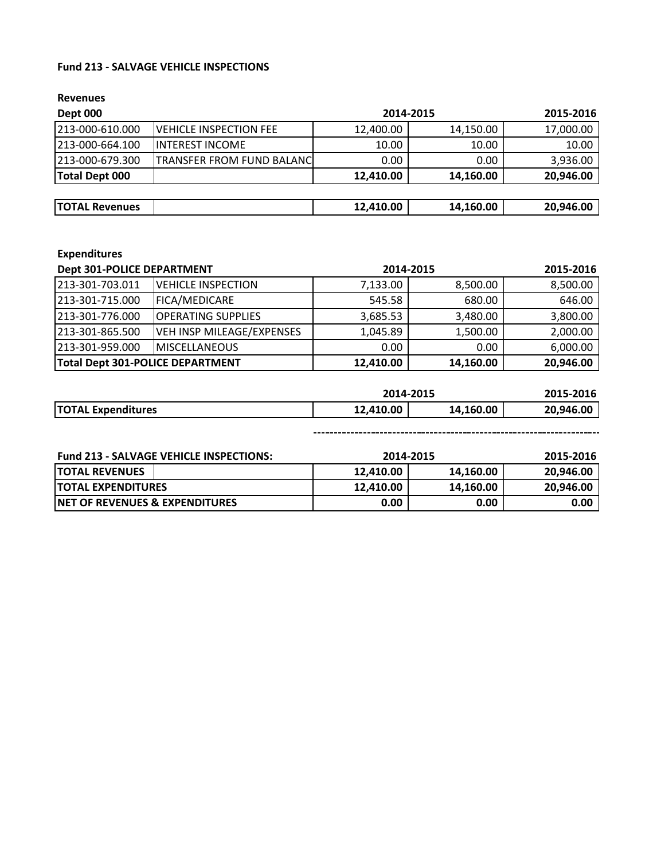### **Fund 213 ‐ SALVAGE VEHICLE INSPECTIONS**

**Revenues**

| Dept 000                         |           | 2014-2015 |           |  |
|----------------------------------|-----------|-----------|-----------|--|
| <b>VEHICLE INSPECTION FEE</b>    | 12,400.00 | 14,150.00 | 17,000.00 |  |
| <b>INTEREST INCOME</b>           | 10.00     | 10.00     | 10.00     |  |
| <b>TRANSFER FROM FUND BALANC</b> | 0.00      | 0.00      | 3,936.00  |  |
|                                  | 12,410.00 | 14,160.00 | 20,946.00 |  |
|                                  |           |           |           |  |
|                                  | 12,410.00 | 14,160.00 | 20,946.00 |  |
|                                  |           |           |           |  |

## **Expenditures**

| <b>Dept 301-POLICE DEPARTMENT</b> |                                  | 2014-2015 |           | 2015-2016 |
|-----------------------------------|----------------------------------|-----------|-----------|-----------|
| 213-301-703.011                   | <b>VEHICLE INSPECTION</b>        | 7,133.00  | 8,500.00  | 8,500.00  |
| 213-301-715.000                   | <b>FICA/MEDICARE</b>             | 545.58    | 680.00    | 646.00    |
| 1213-301-776.000                  | <b>IOPERATING SUPPLIES</b>       | 3,685.53  | 3,480.00  | 3,800.00  |
| 213-301-865.500                   | <b>VEH INSP MILEAGE/EXPENSES</b> | 1,045.89  | 1,500.00  | 2,000.00  |
| 213-301-959.000                   | <b>MISCELLANEOUS</b>             | 0.00      | 0.00      | 6,000.00  |
| Total Dept 301-POLICE DEPARTMENT  |                                  | 12,410.00 | 14,160.00 | 20,946.00 |

|                           | 2014-2015 |           | 2015-2016 |
|---------------------------|-----------|-----------|-----------|
| <b>TOTAL Expenditures</b> | 12,410.00 | 14,160.00 | 20,946.00 |

| <b>Fund 213 - SALVAGE VEHICLE INSPECTIONS:</b> |           | 2014-2015         |           |
|------------------------------------------------|-----------|-------------------|-----------|
| <b>TOTAL REVENUES</b>                          | 12.410.00 | 14,160.00         | 20,946.00 |
| <b>ITOTAL EXPENDITURES</b>                     | 12.410.00 | 14.160.00         | 20.946.00 |
| <b>INET OF REVENUES &amp; EXPENDITURES</b>     | 0.00      | 0.00 <sub>1</sub> | 0.00      |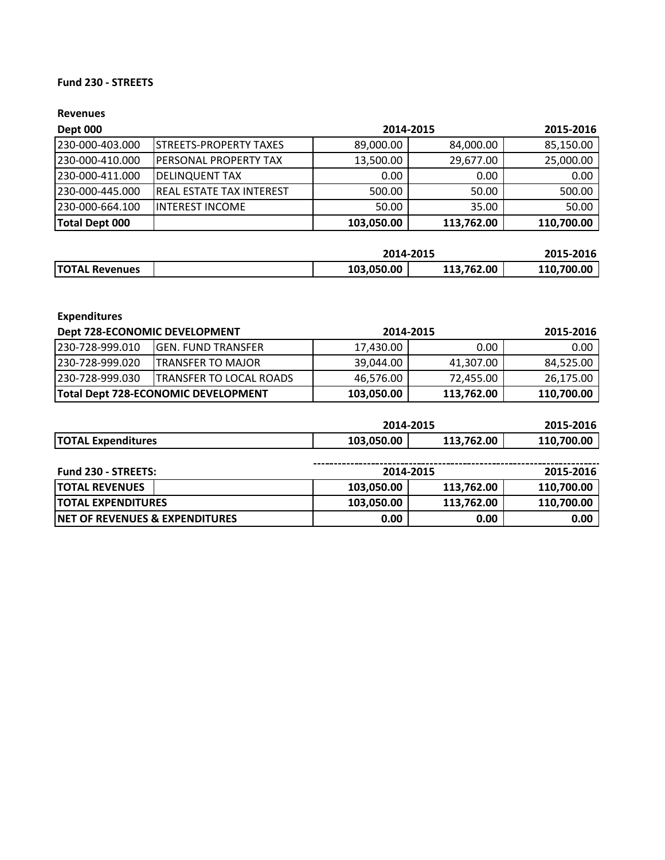### **Fund 230 ‐ STREETS**

| Dept 000        |                                 | 2014-2015  | 2015-2016  |            |
|-----------------|---------------------------------|------------|------------|------------|
| 230-000-403.000 | <b>ISTREETS-PROPERTY TAXES</b>  | 89,000.00  | 84,000.00  | 85,150.00  |
| 230-000-410.000 | IPERSONAL PROPERTY TAX          | 13,500.00  | 29,677.00  | 25,000.00  |
| 230-000-411.000 | <b>DELINQUENT TAX</b>           | 0.00       | 0.00       | 0.00       |
| 230-000-445.000 | <b>REAL ESTATE TAX INTEREST</b> | 500.00     | 50.00      | 500.00     |
| 230-000-664.100 | IINTEREST INCOME                | 50.00      | 35.00      | 50.00      |
| Total Dept 000  |                                 | 103,050.00 | 113,762.00 | 110,700.00 |

|                       | 2014-2015  | 2015-2016  |            |
|-----------------------|------------|------------|------------|
| <b>TOTAL Revenues</b> | 103,050.00 | 113,762.00 | 110.700.00 |

| <b>Expenditures</b>       |                                     |            |            |            |
|---------------------------|-------------------------------------|------------|------------|------------|
|                           | Dept 728-ECONOMIC DEVELOPMENT       |            | 2014-2015  | 2015-2016  |
| 230-728-999.010           | <b>GEN. FUND TRANSFER</b>           | 17,430.00  | 0.00       | 0.00       |
| 230-728-999.020           | <b>TRANSFER TO MAJOR</b>            | 39,044.00  | 41,307.00  | 84,525.00  |
| 230-728-999.030           | <b>TRANSFER TO LOCAL ROADS</b>      | 46,576.00  | 72,455.00  | 26,175.00  |
|                           | Total Dept 728-ECONOMIC DEVELOPMENT | 103,050.00 | 113,762.00 | 110,700.00 |
|                           |                                     |            |            |            |
|                           |                                     |            | 2014-2015  | 2015-2016  |
| <b>TOTAL Expenditures</b> |                                     | 103,050.00 | 113,762.00 | 110,700.00 |

| <b>Fund 230 - STREETS:</b><br>2014-2015    |            |            | 2015-2016  |
|--------------------------------------------|------------|------------|------------|
| <b>ITOTAL REVENUES</b>                     | 103,050.00 | 113,762.00 | 110,700.00 |
| <b>ITOTAL EXPENDITURES</b>                 | 103,050.00 | 113,762.00 | 110,700.00 |
| <b>INET OF REVENUES &amp; EXPENDITURES</b> | 0.00       | 0.00       | 0.00       |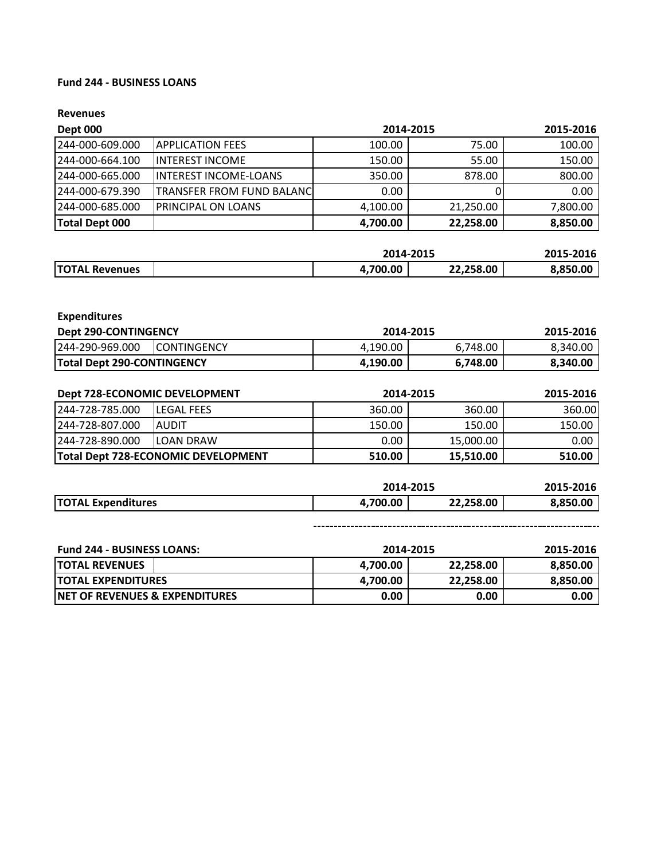### **Fund 244 ‐ BUSINESS LOANS**

#### **Revenues**

| Dept 000         |                                  | 2014-2015 | 2015-2016 |          |
|------------------|----------------------------------|-----------|-----------|----------|
| 244-000-609.000  | <b>JAPPLICATION FEES</b>         | 100.00    | 75.00     | 100.00   |
| 1244-000-664.100 | <b>IINTEREST INCOME</b>          | 150.00    | 55.00     | 150.00   |
| 1244-000-665.000 | <b>INTEREST INCOME-LOANS</b>     | 350.00    | 878.00    | 800.00   |
| 244-000-679.390  | <b>TRANSFER FROM FUND BALANC</b> | 0.00      |           | 0.00     |
| 1244-000-685.000 | <b>PRINCIPAL ON LOANS</b>        | 4,100.00  | 21,250.00 | 7,800.00 |
| Total Dept 000   |                                  | 4,700.00  | 22,258.00 | 8,850.00 |

|                       |         | 2014-2015 |         |  |
|-----------------------|---------|-----------|---------|--|
| <b>TOTAL Revenues</b> | ,700.00 | 22,258.00 | .850.00 |  |

| <b>Expenditures</b>                  |                    |           |           |           |
|--------------------------------------|--------------------|-----------|-----------|-----------|
| <b>Dept 290-CONTINGENCY</b>          |                    | 2014-2015 |           | 2015-2016 |
| 244-290-969.000                      | <b>CONTINGENCY</b> | 4,190.00  | 6,748.00  | 8,340.00  |
| <b>Total Dept 290-CONTINGENCY</b>    |                    | 4,190.00  | 6,748.00  | 8,340.00  |
|                                      |                    |           |           |           |
|                                      |                    |           |           |           |
| <b>Dept 728-ECONOMIC DEVELOPMENT</b> |                    | 2014-2015 |           | 2015-2016 |
| 244-728-785.000                      | <b>LEGAL FEES</b>  | 360.00    | 360.00    | 360.00    |
| 244-728-807.000                      | <b>AUDIT</b>       | 150.00    | 150.00    | 150.00    |
| 244-728-890.000                      | <b>LOAN DRAW</b>   | 0.00      | 15,000.00 | 0.00      |

|                           | 2014-2015 |           | 2015-2016 |
|---------------------------|-----------|-----------|-----------|
| <b>TOTAL Expenditures</b> | 4.700.00  | 22.258.00 | 8,850.00  |

| <b>Fund 244 - BUSINESS LOANS:</b><br>2014-2015 |          |           | 2015-2016 |
|------------------------------------------------|----------|-----------|-----------|
| <b>TOTAL REVENUES</b>                          | 4.700.00 | 22.258.00 | 8,850.00  |
| <b>ITOTAL EXPENDITURES</b>                     | 4.700.00 | 22.258.00 | 8.850.00  |
| INET OF REVENUES & EXPENDITURES                | 0.00     | 0.00      | 0.00      |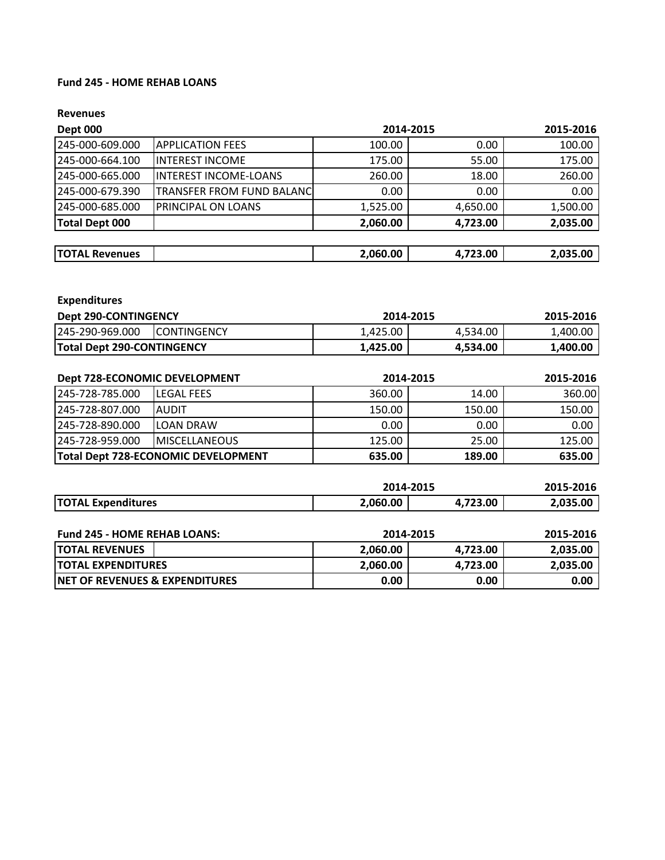### **Fund 245 ‐ HOME REHAB LOANS**

| <b>Dept 000</b>       |                                  | 2014-2015 | 2015-2016 |          |
|-----------------------|----------------------------------|-----------|-----------|----------|
| 245-000-609.000       | <b>APPLICATION FEES</b>          | 100.00    | 0.00      | 100.00   |
| 245-000-664.100       | IINTEREST INCOME                 | 175.00    | 55.00     | 175.00   |
| 245-000-665.000       | INTEREST INCOME-LOANS            | 260.00    | 18.00     | 260.00   |
| 245-000-679.390       | <b>TRANSFER FROM FUND BALANC</b> | 0.00      | 0.00      | 0.00     |
| 245-000-685.000       | <b>PRINCIPAL ON LOANS</b>        | 1,525.00  | 4,650.00  | 1,500.00 |
| <b>Total Dept 000</b> |                                  | 2,060.00  | 4,723.00  | 2,035.00 |
|                       |                                  |           |           |          |
| <b>TOTAL Revenues</b> |                                  | 2,060.00  | 4,723.00  | 2,035.00 |

| <b>Expenditures</b>         |                     |           |          |           |
|-----------------------------|---------------------|-----------|----------|-----------|
| <b>Dept 290-CONTINGENCY</b> |                     | 2014-2015 |          | 2015-2016 |
| l245-290-969.000            | <b>ICONTINGENCY</b> | 1,425.00  | 4,534.00 | 1,400.00  |
| Total Dept 290-CONTINGENCY  |                     | 1,425.00  | 4,534.00 | 1,400.00  |
|                             |                     |           |          |           |

| Dept 728-ECONOMIC DEVELOPMENT |                                     | 2014-2015 |        | 2015-2016 |
|-------------------------------|-------------------------------------|-----------|--------|-----------|
| 245-728-785.000               | <b>ILEGAL FEES</b>                  | 360.00    | 14.00  | 360.00    |
| 245-728-807.000               | <b>IAUDIT</b>                       | 150.00    | 150.00 | 150.00    |
| 245-728-890.000               | <b>ILOAN DRAW</b>                   | 0.00      | 0.00   | 0.00      |
| 245-728-959.000               | <b>IMISCELLANEOUS</b>               | 125.00    | 25.00  | 125.00    |
|                               | Total Dept 728-ECONOMIC DEVELOPMENT | 635.00    | 189.00 | 635.00    |

|                                           | 2014-2015 |          | 2015-2016 |  |
|-------------------------------------------|-----------|----------|-----------|--|
| <b>TOTAL Expenditures</b>                 | 2,060.00  | 4,723.00 | 2,035.00  |  |
|                                           |           |          |           |  |
| <b>Fund 245 - HOME REHAB LOANS:</b>       | 2014-2015 |          | 2015-2016 |  |
| <b>TOTAL REVENUES</b>                     | 2,060.00  | 4,723.00 | 2,035.00  |  |
| <b>TOTAL EXPENDITURES</b>                 | 2,060.00  | 4,723.00 | 2,035.00  |  |
| <b>NET OF REVENUES &amp; EXPENDITURES</b> | 0.00      | 0.00     | 0.00      |  |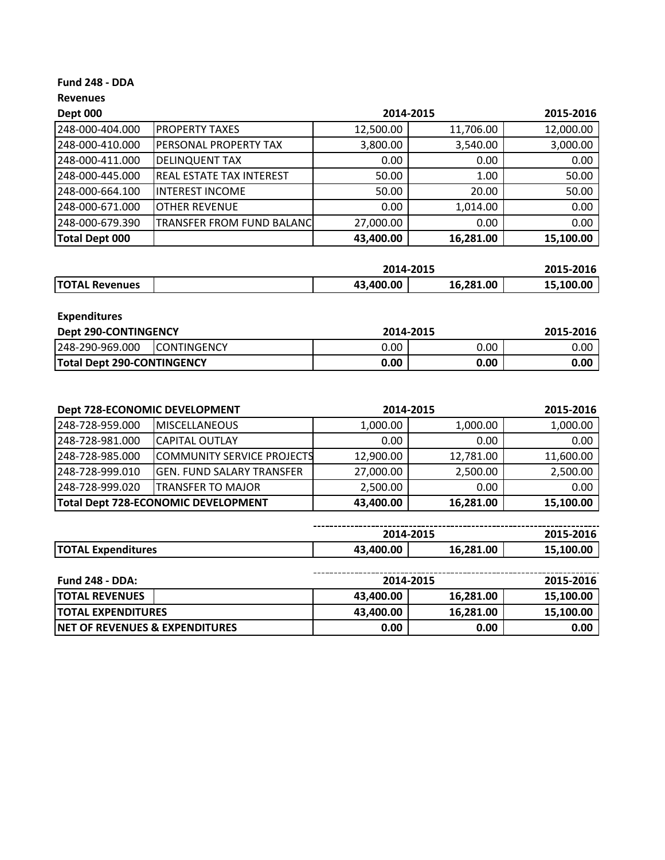### **Fund 248 ‐ DDA**

| <b>Dept 000</b>       |                                  | 2014-2015 |           | 2015-2016 |
|-----------------------|----------------------------------|-----------|-----------|-----------|
| 248-000-404.000       | <b>PROPERTY TAXES</b>            | 12,500.00 | 11,706.00 | 12,000.00 |
| 248-000-410.000       | <b>PERSONAL PROPERTY TAX</b>     | 3,800.00  | 3,540.00  | 3,000.00  |
| 248-000-411.000       | <b>DELINQUENT TAX</b>            | 0.00      | 0.00      | 0.00      |
| 248-000-445.000       | <b>REAL ESTATE TAX INTEREST</b>  | 50.00     | 1.00      | 50.00     |
| 248-000-664.100       | <b>INTEREST INCOME</b>           | 50.00     | 20.00     | 50.00     |
| 248-000-671.000       | <b>OTHER REVENUE</b>             | 0.00      | 1,014.00  | 0.00      |
| 248-000-679.390       | <b>TRANSFER FROM FUND BALANC</b> | 27,000.00 | 0.00      | 0.00      |
| <b>Total Dept 000</b> |                                  | 43,400.00 | 16,281.00 | 15,100.00 |

|                       | 2014-2015 |           | 2015-2016 |
|-----------------------|-----------|-----------|-----------|
| <b>TOTAL Revenues</b> | 43,400.00 | 16,281.00 | 15,100.00 |

| <b>Expenditures</b>               |                     |           |      |           |
|-----------------------------------|---------------------|-----------|------|-----------|
| <b>Dept 290-CONTINGENCY</b>       |                     | 2014-2015 |      | 2015-2016 |
| 248-290-969.000                   | <b>ICONTINGENCY</b> | 0.00      | 0.00 | 0.00      |
| <b>Total Dept 290-CONTINGENCY</b> |                     | 0.00      | 0.00 | 0.00      |

| Dept 728-ECONOMIC DEVELOPMENT |                                            | 2014-2015 |           | 2015-2016         |
|-------------------------------|--------------------------------------------|-----------|-----------|-------------------|
| 248-728-959.000               | <b>IMISCELLANEOUS</b>                      | 1,000.00  | 1,000.00  | 1,000.00          |
| 248-728-981.000               | <b>CAPITAL OUTLAY</b>                      | 0.00      | 0.00      | 0.00 <sub>1</sub> |
| 248-728-985.000               | COMMUNITY SERVICE PROJECTS                 | 12,900.00 | 12,781.00 | 11,600.00         |
| 248-728-999.010               | <b>GEN. FUND SALARY TRANSFER</b>           | 27,000.00 | 2,500.00  | 2,500.00          |
| 248-728-999.020               | ITRANSFER TO MAJOR                         | 2,500.00  | 0.00      | 0.00              |
|                               | <b>Total Dept 728-ECONOMIC DEVELOPMENT</b> | 43,400.00 | 16,281.00 | 15,100.00         |

|                                       | 2014-20 | <b>2015</b><br>ZU15 | 2015-2<br><b>LUID</b>           |
|---------------------------------------|---------|---------------------|---------------------------------|
| <b>ITO</b><br><b>FAL Expenditures</b> | ,400.00 | .281.00             | or<br>.100.<br>15, <sup>7</sup> |

| <b>Fund 248 - DDA:</b>                     |           | 2014-2015 |           |  |
|--------------------------------------------|-----------|-----------|-----------|--|
| <b>ITOTAL REVENUES</b>                     | 43.400.00 | 16.281.00 | 15,100.00 |  |
| <b>ITOTAL EXPENDITURES</b>                 | 43.400.00 | 16.281.00 | 15.100.00 |  |
| <b>INET OF REVENUES &amp; EXPENDITURES</b> | 0.00      | 0.00      | 0.00      |  |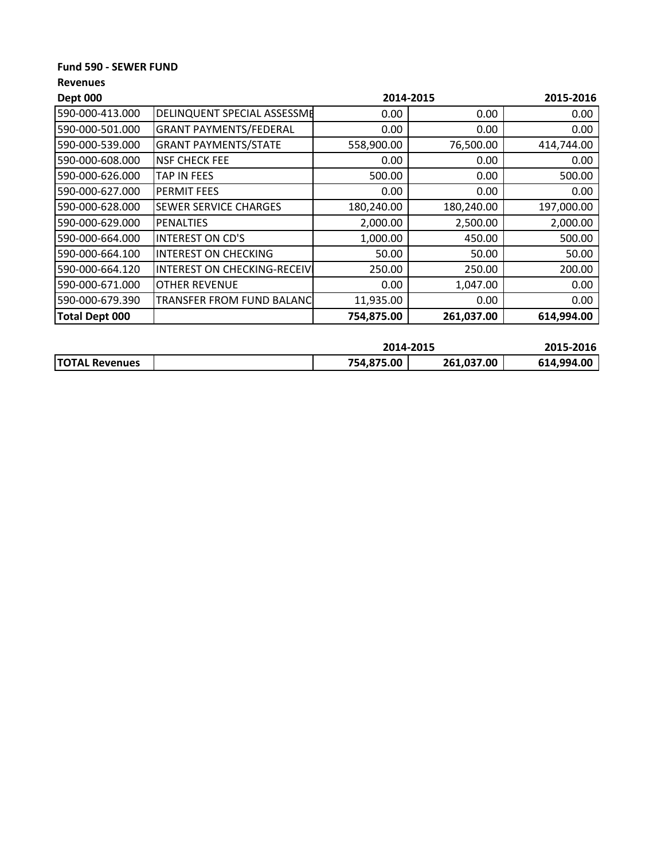### **Fund 590 ‐ SEWER FUND**

| <b>Dept 000</b>       |                                    | 2014-2015  |            | 2015-2016  |
|-----------------------|------------------------------------|------------|------------|------------|
| 590-000-413.000       | <b>DELINQUENT SPECIAL ASSESSME</b> | 0.00       | 0.00       | 0.00       |
| 590-000-501.000       | <b>GRANT PAYMENTS/FEDERAL</b>      | 0.00       | 0.00       | 0.00       |
| 590-000-539.000       | <b>GRANT PAYMENTS/STATE</b>        | 558,900.00 | 76,500.00  | 414,744.00 |
| 590-000-608.000       | <b>NSF CHECK FEE</b>               | 0.00       | 0.00       | 0.00       |
| 590-000-626.000       | <b>TAP IN FEES</b>                 | 500.00     | 0.00       | 500.00     |
| 590-000-627.000       | <b>PERMIT FEES</b>                 | 0.00       | 0.00       | 0.00       |
| 590-000-628.000       | <b>SEWER SERVICE CHARGES</b>       | 180,240.00 | 180,240.00 | 197,000.00 |
| 590-000-629.000       | IPENALTIES                         | 2,000.00   | 2,500.00   | 2,000.00   |
| 590-000-664.000       | <b>INTEREST ON CD'S</b>            | 1,000.00   | 450.00     | 500.00     |
| 590-000-664.100       | <b>INTEREST ON CHECKING</b>        | 50.00      | 50.00      | 50.00      |
| 590-000-664.120       | INTEREST ON CHECKING-RECEIVI       | 250.00     | 250.00     | 200.00     |
| 590-000-671.000       | <b>OTHER REVENUE</b>               | 0.00       | 1,047.00   | 0.00       |
| 590-000-679.390       | TRANSFER FROM FUND BALANC          | 11,935.00  | 0.00       | 0.00       |
| <b>Total Dept 000</b> |                                    | 754,875.00 | 261,037.00 | 614,994.00 |

|                       | 2014-2015  |            | 2015-2016  |
|-----------------------|------------|------------|------------|
| <b>TOTAL Revenues</b> | 754,875.00 | 261,037.00 | 614,994.00 |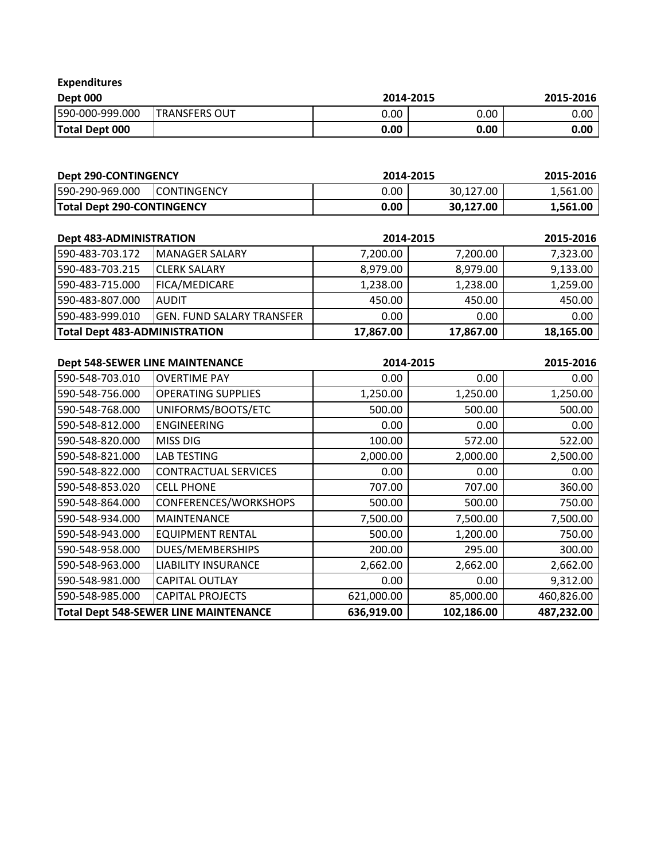| <b>Expenditures</b> |                |           |      |           |
|---------------------|----------------|-----------|------|-----------|
| <b>Dept 000</b>     |                | 2014-2015 |      | 2015-2016 |
| 590-000-999.000     | ITRANSFERS OUT | 0.00      | 0.00 | 0.00      |
| Total Dept 000      |                | 0.00      | 0.00 | 0.00      |

| <b>Dept 290-CONTINGENCY</b>       |                     | 2014-2015 |           | 2015-2016 |
|-----------------------------------|---------------------|-----------|-----------|-----------|
| 590-290-969.000                   | <b>ICONTINGENCY</b> | 0.00      | 30,127.00 | 1.561.00  |
| <b>Total Dept 290-CONTINGENCY</b> |                     | 0.00      | 30.127.00 | 1,561.00  |

| <b>Dept 483-ADMINISTRATION</b>       |                                  | 2014-2015 |           | 2015-2016 |
|--------------------------------------|----------------------------------|-----------|-----------|-----------|
| 590-483-703.172                      | <b>IMANAGER SALARY</b>           | 7,200.00  | 7,200.00  | 7,323.00  |
| 590-483-703.215                      | <b>ICLERK SALARY</b>             | 8,979.00  | 8,979.00  | 9,133.00  |
| 590-483-715.000                      | <b>FICA/MEDICARE</b>             | 1,238.00  | 1,238.00  | 1,259.00  |
| 1590-483-807.000                     | <b>IAUDIT</b>                    | 450.00    | 450.00    | 450.00    |
| 1590-483-999.010                     | <b>GEN. FUND SALARY TRANSFER</b> | 0.00      | 0.00      | 0.00      |
| <b>Total Dept 483-ADMINISTRATION</b> |                                  | 17,867.00 | 17,867.00 | 18,165.00 |

| <b>Dept 548-SEWER LINE MAINTENANCE</b> |                                              |            | 2014-2015  |            |
|----------------------------------------|----------------------------------------------|------------|------------|------------|
| 590-548-703.010                        | <b>OVERTIME PAY</b>                          | 0.00       | 0.00       | 0.00       |
| 590-548-756.000                        | <b>OPERATING SUPPLIES</b>                    | 1,250.00   | 1,250.00   | 1,250.00   |
| 590-548-768.000                        | UNIFORMS/BOOTS/ETC                           | 500.00     | 500.00     | 500.00     |
| 590-548-812.000                        | <b>ENGINEERING</b>                           | 0.00       | 0.00       | 0.00       |
| 590-548-820.000                        | <b>MISS DIG</b>                              | 100.00     | 572.00     | 522.00     |
| 590-548-821.000                        | <b>LAB TESTING</b>                           | 2,000.00   | 2,000.00   | 2,500.00   |
| 590-548-822.000                        | <b>CONTRACTUAL SERVICES</b>                  | 0.00       | 0.00       | 0.00       |
| 590-548-853.020                        | <b>CELL PHONE</b>                            | 707.00     | 707.00     | 360.00     |
| 590-548-864.000                        | CONFERENCES/WORKSHOPS                        | 500.00     | 500.00     | 750.00     |
| 590-548-934.000                        | <b>MAINTENANCE</b>                           | 7,500.00   | 7,500.00   | 7,500.00   |
| 590-548-943.000                        | <b>EQUIPMENT RENTAL</b>                      | 500.00     | 1,200.00   | 750.00     |
| 590-548-958.000                        | DUES/MEMBERSHIPS                             | 200.00     | 295.00     | 300.00     |
| 590-548-963.000                        | <b>LIABILITY INSURANCE</b>                   | 2,662.00   | 2,662.00   | 2,662.00   |
| 590-548-981.000                        | <b>CAPITAL OUTLAY</b>                        | 0.00       | 0.00       | 9,312.00   |
| 590-548-985.000                        | <b>CAPITAL PROJECTS</b>                      | 621,000.00 | 85,000.00  | 460,826.00 |
|                                        | <b>Total Dept 548-SEWER LINE MAINTENANCE</b> | 636,919.00 | 102,186.00 | 487,232.00 |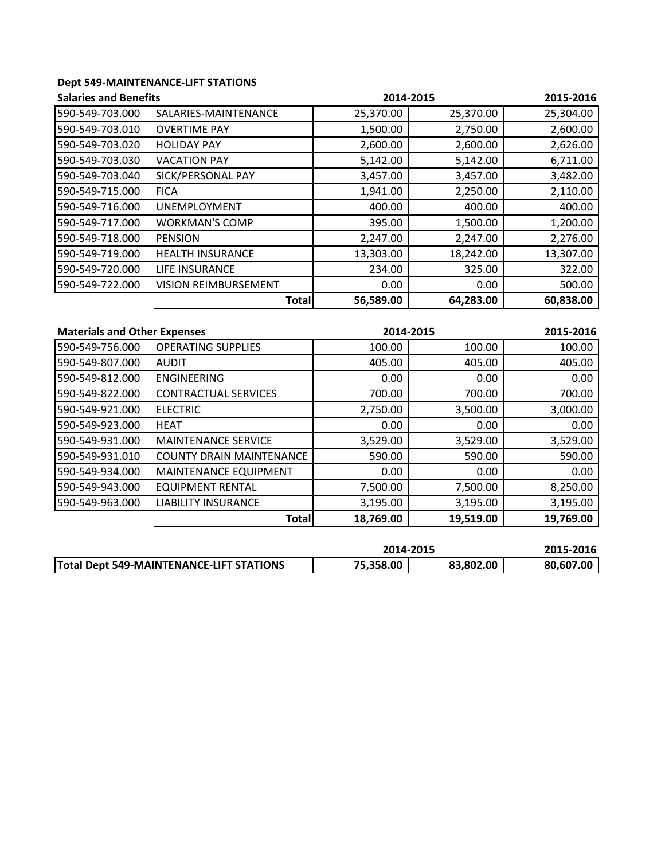## **Dept 549‐MAINTENANCE‐LIFT STATIONS**

| <b>Salaries and Benefits</b> |                             |           | 2014-2015 |           |
|------------------------------|-----------------------------|-----------|-----------|-----------|
| 590-549-703.000              | SALARIES-MAINTENANCE        | 25,370.00 | 25,370.00 | 25,304.00 |
| 590-549-703.010              | <b>OVERTIME PAY</b>         | 1,500.00  | 2,750.00  | 2,600.00  |
| 590-549-703.020              | <b>HOLIDAY PAY</b>          | 2,600.00  | 2,600.00  | 2,626.00  |
| 590-549-703.030              | <b>VACATION PAY</b>         | 5,142.00  | 5,142.00  | 6,711.00  |
| 590-549-703.040              | SICK/PERSONAL PAY           | 3,457.00  | 3,457.00  | 3,482.00  |
| 590-549-715.000              | <b>FICA</b>                 | 1,941.00  | 2,250.00  | 2,110.00  |
| 590-549-716.000              | <b>UNEMPLOYMENT</b>         | 400.00    | 400.00    | 400.00    |
| 590-549-717.000              | <b>WORKMAN'S COMP</b>       | 395.00    | 1,500.00  | 1,200.00  |
| 590-549-718.000              | <b>PENSION</b>              | 2,247.00  | 2,247.00  | 2,276.00  |
| 590-549-719.000              | <b>HEALTH INSURANCE</b>     | 13,303.00 | 18,242.00 | 13,307.00 |
| 590-549-720.000              | <b>LIFE INSURANCE</b>       | 234.00    | 325.00    | 322.00    |
| 590-549-722.000              | <b>VISION REIMBURSEMENT</b> | 0.00      | 0.00      | 500.00    |
|                              | <b>Total</b>                | 56,589.00 | 64,283.00 | 60,838.00 |

| <b>Materials and Other Expenses</b> |                                 | 2014-2015 |           | 2015-2016 |
|-------------------------------------|---------------------------------|-----------|-----------|-----------|
| 590-549-756.000                     | <b>OPERATING SUPPLIES</b>       | 100.00    | 100.00    | 100.00    |
| 590-549-807.000                     | <b>AUDIT</b>                    | 405.00    | 405.00    | 405.00    |
| 590-549-812.000                     | <b>ENGINEERING</b>              | 0.00      | 0.00      | 0.00      |
| 590-549-822.000                     | <b>CONTRACTUAL SERVICES</b>     | 700.00    | 700.00    | 700.00    |
| 590-549-921.000                     | <b>ELECTRIC</b>                 | 2,750.00  | 3,500.00  | 3,000.00  |
| 590-549-923.000                     | <b>HEAT</b>                     | 0.00      | 0.00      | 0.00      |
| 590-549-931.000                     | <b>MAINTENANCE SERVICE</b>      | 3,529.00  | 3,529.00  | 3,529.00  |
| 590-549-931.010                     | <b>COUNTY DRAIN MAINTENANCE</b> | 590.00    | 590.00    | 590.00    |
| 590-549-934.000                     | <b>MAINTENANCE EQUIPMENT</b>    | 0.00      | 0.00      | 0.00      |
| 590-549-943.000                     | <b>EQUIPMENT RENTAL</b>         | 7,500.00  | 7,500.00  | 8,250.00  |
| 590-549-963.000                     | <b>LIABILITY INSURANCE</b>      | 3,195.00  | 3,195.00  | 3,195.00  |
|                                     | <b>Total</b>                    | 18,769.00 | 19,519.00 | 19,769.00 |

|                                                 | 2014-2015 |           | 2015-2016 |
|-------------------------------------------------|-----------|-----------|-----------|
| <b>Total Dept 549-MAINTENANCE-LIFT STATIONS</b> | 75,358.00 | 83,802.00 | 80.607.00 |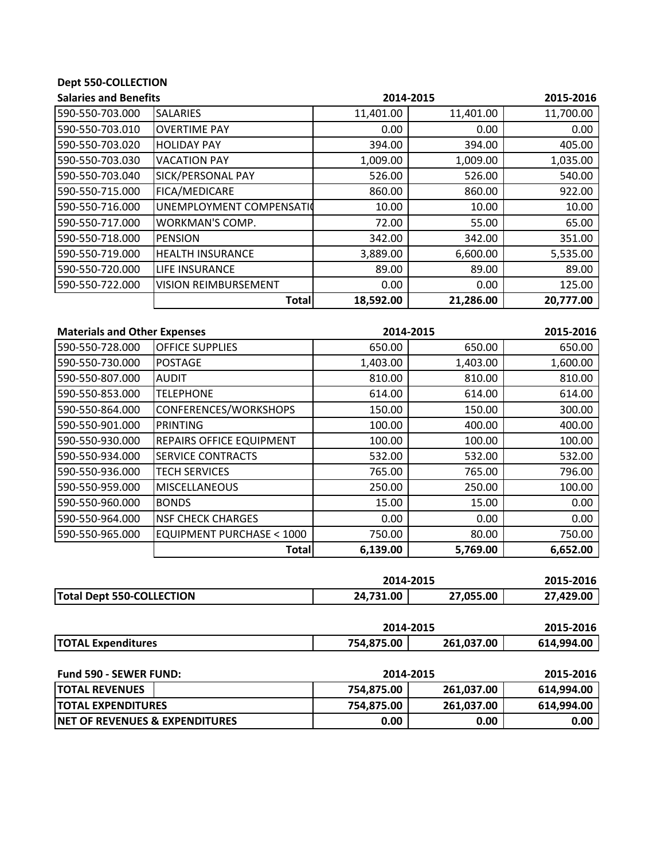# **Dept 550‐COLLECTION**

| <b>Salaries and Benefits</b> |                             | 2014-2015 |           | 2015-2016 |  |
|------------------------------|-----------------------------|-----------|-----------|-----------|--|
| 590-550-703.000              | <b>SALARIES</b>             | 11,401.00 | 11,401.00 | 11,700.00 |  |
| 590-550-703.010              | <b>OVERTIME PAY</b>         | 0.00      | 0.00      | 0.00      |  |
| 590-550-703.020              | <b>HOLIDAY PAY</b>          | 394.00    | 394.00    | 405.00    |  |
| 590-550-703.030              | <b>VACATION PAY</b>         | 1,009.00  | 1,009.00  | 1,035.00  |  |
| 590-550-703.040              | SICK/PERSONAL PAY           | 526.00    | 526.00    | 540.00    |  |
| 590-550-715.000              | FICA/MEDICARE               | 860.00    | 860.00    | 922.00    |  |
| 590-550-716.000              | UNEMPLOYMENT COMPENSATIO    | 10.00     | 10.00     | 10.00     |  |
| 590-550-717.000              | <b>WORKMAN'S COMP.</b>      | 72.00     | 55.00     | 65.00     |  |
| 590-550-718.000              | <b>PENSION</b>              | 342.00    | 342.00    | 351.00    |  |
| 590-550-719.000              | <b>HEALTH INSURANCE</b>     | 3,889.00  | 6,600.00  | 5,535.00  |  |
| 590-550-720.000              | <b>LIFE INSURANCE</b>       | 89.00     | 89.00     | 89.00     |  |
| 590-550-722.000              | <b>VISION REIMBURSEMENT</b> | 0.00      | 0.00      | 125.00    |  |
|                              | <b>Total</b>                | 18,592.00 | 21,286.00 | 20,777.00 |  |

| <b>Materials and Other Expenses</b> |                                     | 2014-2015 |          | 2015-2016 |
|-------------------------------------|-------------------------------------|-----------|----------|-----------|
| 590-550-728.000                     | <b>OFFICE SUPPLIES</b>              | 650.00    | 650.00   | 650.00    |
| 590-550-730.000                     | <b>POSTAGE</b>                      | 1,403.00  | 1,403.00 | 1,600.00  |
| 590-550-807.000                     | <b>AUDIT</b>                        | 810.00    | 810.00   | 810.00    |
| 590-550-853.000                     | <b>TELEPHONE</b>                    | 614.00    | 614.00   | 614.00    |
| 590-550-864.000                     | CONFERENCES/WORKSHOPS               | 150.00    | 150.00   | 300.00    |
| 590-550-901.000                     | PRINTING                            | 100.00    | 400.00   | 400.00    |
| 590-550-930.000                     | <b>REPAIRS OFFICE EQUIPMENT</b>     | 100.00    | 100.00   | 100.00    |
| 590-550-934.000                     | <b>SERVICE CONTRACTS</b>            | 532.00    | 532.00   | 532.00    |
| 590-550-936.000                     | <b>TECH SERVICES</b>                | 765.00    | 765.00   | 796.00    |
| 590-550-959.000                     | <b>MISCELLANEOUS</b>                | 250.00    | 250.00   | 100.00    |
| 590-550-960.000                     | <b>BONDS</b>                        | 15.00     | 15.00    | 0.00      |
| 590-550-964.000                     | <b>NSF CHECK CHARGES</b>            | 0.00      | 0.00     | 0.00      |
| 590-550-965.000                     | <b>EQUIPMENT PURCHASE &lt; 1000</b> | 750.00    | 80.00    | 750.00    |
|                                     | Total                               | 6,139.00  | 5,769.00 | 6,652.00  |

|                                  | 2014-2015 |           | 2015-2016 |
|----------------------------------|-----------|-----------|-----------|
| <b>Total Dept 550-COLLECTION</b> | 24.731.00 | 27,055.00 | 27.429.00 |

|                                           | 2014-2015  |            | 2015-2016  |  |
|-------------------------------------------|------------|------------|------------|--|
| <b>TOTAL Expenditures</b>                 | 754,875.00 | 261,037.00 | 614,994.00 |  |
|                                           |            |            |            |  |
| <b>Fund 590 - SEWER FUND:</b>             | 2014-2015  |            | 2015-2016  |  |
| <b>TOTAL REVENUES</b>                     | 754,875.00 | 261,037.00 | 614,994.00 |  |
| <b>TOTAL EXPENDITURES</b>                 | 754,875.00 | 261,037.00 | 614,994.00 |  |
| <b>NET OF REVENUES &amp; EXPENDITURES</b> | 0.00       | 0.00       | 0.00       |  |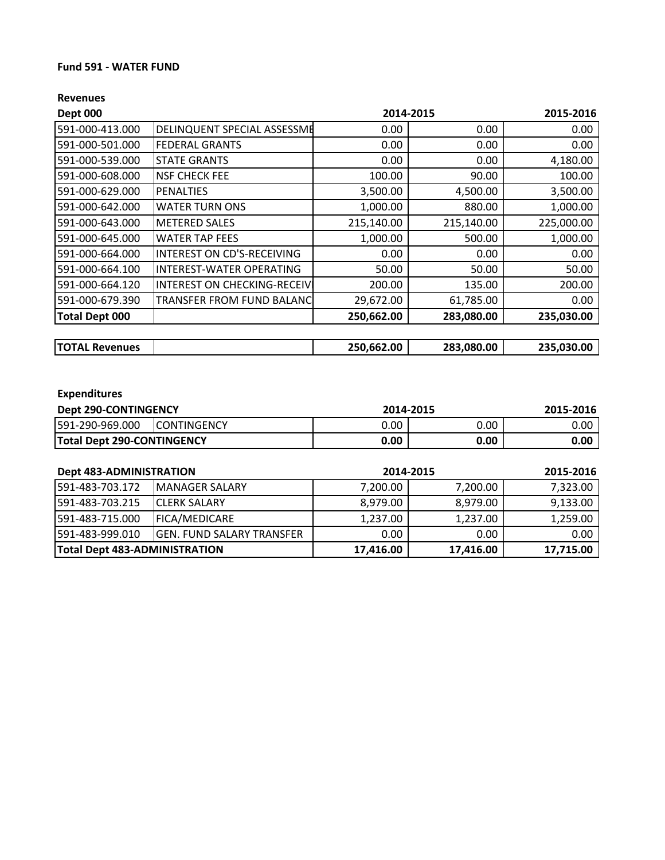### **Fund 591 ‐ WATER FUND**

### **Revenues**

| <b>Dept 000</b>       |                                   | 2014-2015  |            | 2015-2016  |
|-----------------------|-----------------------------------|------------|------------|------------|
| 591-000-413.000       | DELINQUENT SPECIAL ASSESSME       | 0.00       | 0.00       | 0.00       |
| 591-000-501.000       | <b>FEDERAL GRANTS</b>             | 0.00       | 0.00       | 0.00       |
| 591-000-539.000       | <b>STATE GRANTS</b>               | 0.00       | 0.00       | 4,180.00   |
| 591-000-608.000       | <b>NSF CHECK FEE</b>              | 100.00     | 90.00      | 100.00     |
| 591-000-629.000       | <b>PENALTIES</b>                  | 3,500.00   | 4,500.00   | 3,500.00   |
| 591-000-642.000       | <b>WATER TURN ONS</b>             | 1,000.00   | 880.00     | 1,000.00   |
| 591-000-643.000       | <b>METERED SALES</b>              | 215,140.00 | 215,140.00 | 225,000.00 |
| 591-000-645.000       | <b>WATER TAP FEES</b>             | 1,000.00   | 500.00     | 1,000.00   |
| 591-000-664.000       | <b>INTEREST ON CD'S-RECEIVING</b> | 0.00       | 0.00       | 0.00       |
| 591-000-664.100       | <b>INTEREST-WATER OPERATING</b>   | 50.00      | 50.00      | 50.00      |
| 591-000-664.120       | INTEREST ON CHECKING-RECEIVI      | 200.00     | 135.00     | 200.00     |
| 591-000-679.390       | <b>TRANSFER FROM FUND BALANC</b>  | 29,672.00  | 61,785.00  | 0.00       |
| <b>Total Dept 000</b> |                                   | 250,662.00 | 283,080.00 | 235,030.00 |
|                       |                                   |            |            |            |
| <b>TOTAL Revenues</b> |                                   | 250,662.00 | 283,080.00 | 235,030.00 |

## **Expenditures**

| <b>Dept 290-CONTINGENCY</b>       |                     | 2014-2015        |      | 2015-2016 |
|-----------------------------------|---------------------|------------------|------|-----------|
| 591-290-969.000                   | <b>ICONTINGENCY</b> | 0.00<br>$0.00\,$ |      | 0.00      |
| <b>Total Dept 290-CONTINGENCY</b> |                     | 0.00             | 0.00 | 0.00      |

| <b>Dept 483-ADMINISTRATION</b> |                            | 2014-2015 |           | 2015-2016 |
|--------------------------------|----------------------------|-----------|-----------|-----------|
| 591-483-703.172                | <b>IMANAGER SALARY</b>     | 7,200.00  | 7,200.00  | 7,323.00  |
| 1591-483-703.215               | <b>ICLERK SALARY</b>       | 8.979.00  | 8.979.00  | 9,133.00  |
| 1591-483-715.000               | <b>IFICA/MEDICARE</b>      | 1,237.00  | 1,237.00  | 1,259.00  |
| 1591-483-999.010               | IGEN. FUND SALARY TRANSFER | 0.00      | 0.00      | 0.00      |
| Total Dept 483-ADMINISTRATION  |                            | 17,416.00 | 17,416.00 | 17,715.00 |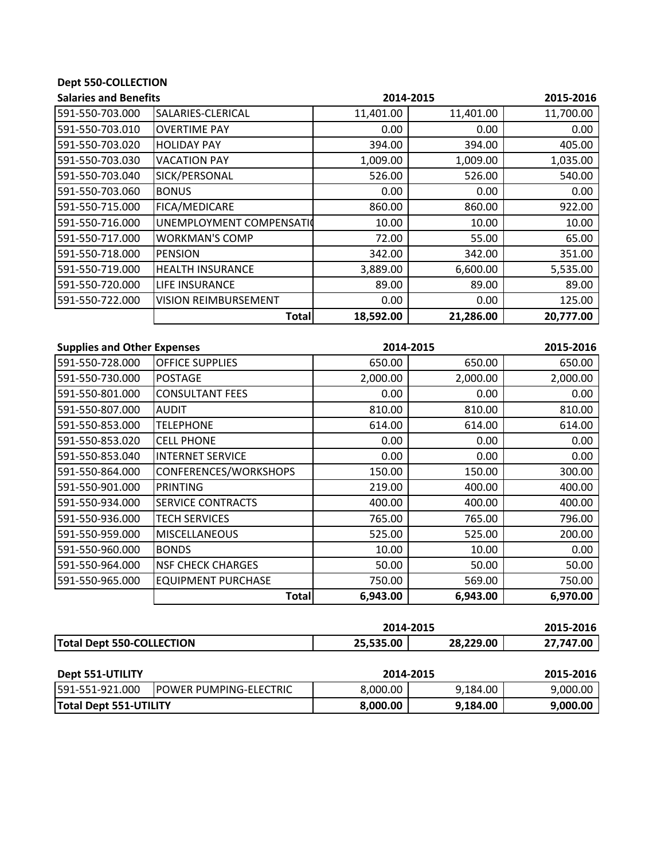# **Dept 550‐COLLECTION**

| <b>Salaries and Benefits</b> |                             | 2014-2015 | 2015-2016 |           |
|------------------------------|-----------------------------|-----------|-----------|-----------|
| 591-550-703.000              | SALARIES-CLERICAL           | 11,401.00 | 11,401.00 | 11,700.00 |
| 591-550-703.010              | <b>OVERTIME PAY</b>         | 0.00      | 0.00      | 0.00      |
| 591-550-703.020              | <b>HOLIDAY PAY</b>          | 394.00    | 394.00    | 405.00    |
| 591-550-703.030              | <b>VACATION PAY</b>         | 1,009.00  | 1,009.00  | 1,035.00  |
| 591-550-703.040              | SICK/PERSONAL               | 526.00    | 526.00    | 540.00    |
| 591-550-703.060              | <b>BONUS</b>                | 0.00      | 0.00      | 0.00      |
| 591-550-715.000              | FICA/MEDICARE               | 860.00    | 860.00    | 922.00    |
| 591-550-716.000              | UNEMPLOYMENT COMPENSATIO    | 10.00     | 10.00     | 10.00     |
| 591-550-717.000              | <b>WORKMAN'S COMP</b>       | 72.00     | 55.00     | 65.00     |
| 591-550-718.000              | <b>PENSION</b>              | 342.00    | 342.00    | 351.00    |
| 591-550-719.000              | <b>HEALTH INSURANCE</b>     | 3,889.00  | 6,600.00  | 5,535.00  |
| 591-550-720.000              | <b>LIFE INSURANCE</b>       | 89.00     | 89.00     | 89.00     |
| 591-550-722.000              | <b>VISION REIMBURSEMENT</b> | 0.00      | 0.00      | 125.00    |
|                              | <b>Total</b>                | 18,592.00 | 21,286.00 | 20,777.00 |

| <b>Supplies and Other Expenses</b> |                           | 2014-2015 |          | 2015-2016 |
|------------------------------------|---------------------------|-----------|----------|-----------|
| 591-550-728.000                    | <b>OFFICE SUPPLIES</b>    | 650.00    | 650.00   | 650.00    |
| 591-550-730.000                    | <b>POSTAGE</b>            | 2,000.00  | 2,000.00 | 2,000.00  |
| 591-550-801.000                    | <b>CONSULTANT FEES</b>    | 0.00      | 0.00     | 0.00      |
| 591-550-807.000                    | <b>AUDIT</b>              | 810.00    | 810.00   | 810.00    |
| 591-550-853.000                    | <b>TELEPHONE</b>          | 614.00    | 614.00   | 614.00    |
| 591-550-853.020                    | <b>CELL PHONE</b>         | 0.00      | 0.00     | 0.00      |
| 591-550-853.040                    | <b>INTERNET SERVICE</b>   | 0.00      | 0.00     | 0.00      |
| 591-550-864.000                    | CONFERENCES/WORKSHOPS     | 150.00    | 150.00   | 300.00    |
| 591-550-901.000                    | PRINTING                  | 219.00    | 400.00   | 400.00    |
| 591-550-934.000                    | <b>SERVICE CONTRACTS</b>  | 400.00    | 400.00   | 400.00    |
| 591-550-936.000                    | <b>TECH SERVICES</b>      | 765.00    | 765.00   | 796.00    |
| 591-550-959.000                    | <b>MISCELLANEOUS</b>      | 525.00    | 525.00   | 200.00    |
| 591-550-960.000                    | <b>BONDS</b>              | 10.00     | 10.00    | 0.00      |
| 591-550-964.000                    | <b>NSF CHECK CHARGES</b>  | 50.00     | 50.00    | 50.00     |
| 591-550-965.000                    | <b>EQUIPMENT PURCHASE</b> | 750.00    | 569.00   | 750.00    |
|                                    | <b>Total</b>              | 6,943.00  | 6,943.00 | 6,970.00  |

|                                                       |                                | 2014-2015 |           | 2015-2016 |
|-------------------------------------------------------|--------------------------------|-----------|-----------|-----------|
| <b>Total Dept 550-COLLECTION</b>                      |                                | 25,535.00 | 28,229.00 | 27,747.00 |
|                                                       |                                |           |           |           |
| Dept 551-UTILITY                                      |                                | 2014-2015 |           | 2015-2016 |
| 1591-551-921.000                                      | <b>IPOWER PUMPING-ELECTRIC</b> | 8,000.00  | 9,184.00  | 9,000.00  |
| 9,184.00<br><b>Total Dept 551-UTILITY</b><br>8,000.00 |                                | 9,000.00  |           |           |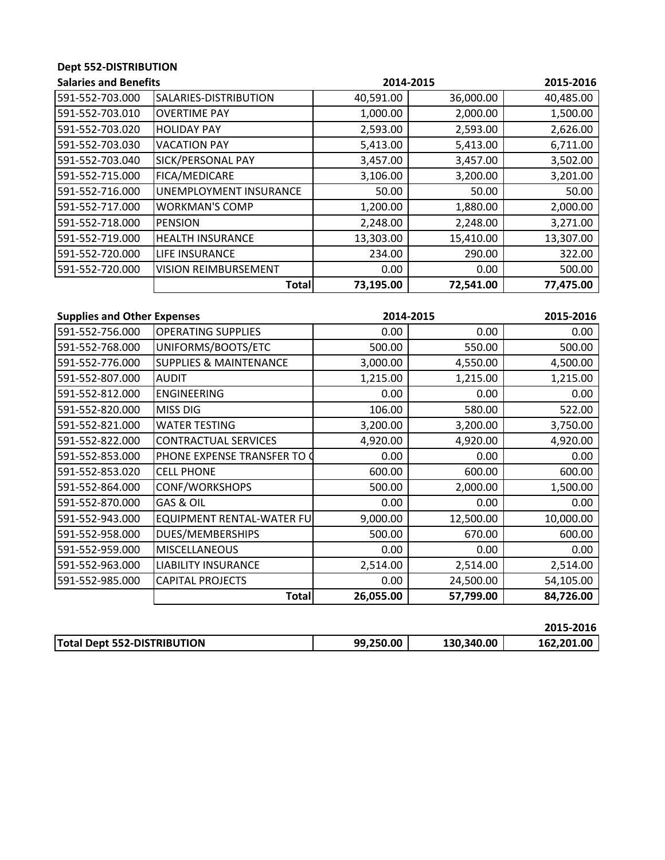## **Dept 552‐DISTRIBUTION**

| <b>Salaries and Benefits</b> |                             | 2014-2015 |           | 2015-2016 |
|------------------------------|-----------------------------|-----------|-----------|-----------|
| 591-552-703.000              | SALARIES-DISTRIBUTION       | 40,591.00 | 36,000.00 | 40,485.00 |
| 591-552-703.010              | <b>OVERTIME PAY</b>         | 1,000.00  | 2,000.00  | 1,500.00  |
| 591-552-703.020              | <b>HOLIDAY PAY</b>          | 2,593.00  | 2,593.00  | 2,626.00  |
| 591-552-703.030              | <b>VACATION PAY</b>         | 5,413.00  | 5,413.00  | 6,711.00  |
| 591-552-703.040              | <b>SICK/PERSONAL PAY</b>    | 3,457.00  | 3,457.00  | 3,502.00  |
| 591-552-715.000              | <b>FICA/MEDICARE</b>        | 3,106.00  | 3,200.00  | 3,201.00  |
| 591-552-716.000              | UNEMPLOYMENT INSURANCE      | 50.00     | 50.00     | 50.00     |
| 591-552-717.000              | <b>WORKMAN'S COMP</b>       | 1,200.00  | 1,880.00  | 2,000.00  |
| 591-552-718.000              | <b>PENSION</b>              | 2,248.00  | 2,248.00  | 3,271.00  |
| 591-552-719.000              | <b>HEALTH INSURANCE</b>     | 13,303.00 | 15,410.00 | 13,307.00 |
| 591-552-720.000              | <b>LIFE INSURANCE</b>       | 234.00    | 290.00    | 322.00    |
| 591-552-720.000              | <b>VISION REIMBURSEMENT</b> | 0.00      | 0.00      | 500.00    |
|                              | Total                       | 73,195.00 | 72,541.00 | 77,475.00 |

| <b>Supplies and Other Expenses</b> |                                   | 2014-2015 |           | 2015-2016 |
|------------------------------------|-----------------------------------|-----------|-----------|-----------|
| 591-552-756.000                    | <b>OPERATING SUPPLIES</b>         | 0.00      | 0.00      | 0.00      |
| 591-552-768.000                    | UNIFORMS/BOOTS/ETC                | 500.00    | 550.00    | 500.00    |
| 591-552-776.000                    | <b>SUPPLIES &amp; MAINTENANCE</b> | 3,000.00  | 4,550.00  | 4,500.00  |
| 591-552-807.000                    | <b>AUDIT</b>                      | 1,215.00  | 1,215.00  | 1,215.00  |
| 591-552-812.000                    | <b>ENGINEERING</b>                | 0.00      | 0.00      | 0.00      |
| 591-552-820.000                    | <b>MISS DIG</b>                   | 106.00    | 580.00    | 522.00    |
| 591-552-821.000                    | <b>WATER TESTING</b>              | 3,200.00  | 3,200.00  | 3,750.00  |
| 591-552-822.000                    | <b>CONTRACTUAL SERVICES</b>       | 4,920.00  | 4,920.00  | 4,920.00  |
| 591-552-853.000                    | PHONE EXPENSE TRANSFER TO C       | 0.00      | 0.00      | 0.00      |
| 591-552-853.020                    | <b>CELL PHONE</b>                 | 600.00    | 600.00    | 600.00    |
| 591-552-864.000                    | <b>CONF/WORKSHOPS</b>             | 500.00    | 2,000.00  | 1,500.00  |
| 591-552-870.000                    | GAS & OIL                         | 0.00      | 0.00      | 0.00      |
| 591-552-943.000                    | <b>EQUIPMENT RENTAL-WATER FUI</b> | 9,000.00  | 12,500.00 | 10,000.00 |
| 591-552-958.000                    | <b>DUES/MEMBERSHIPS</b>           | 500.00    | 670.00    | 600.00    |
| 591-552-959.000                    | <b>MISCELLANEOUS</b>              | 0.00      | 0.00      | 0.00      |
| 591-552-963.000                    | <b>LIABILITY INSURANCE</b>        | 2,514.00  | 2,514.00  | 2,514.00  |
| 591-552-985.000                    | <b>CAPITAL PROJECTS</b>           | 0.00      | 24,500.00 | 54,105.00 |
|                                    | <b>Total</b>                      | 26,055.00 | 57,799.00 | 84,726.00 |

|                                    |           |            | 2015-2016  |
|------------------------------------|-----------|------------|------------|
| <b>Total Dept 552-DISTRIBUTION</b> | 99.250.00 | 130,340.00 | 162.201.00 |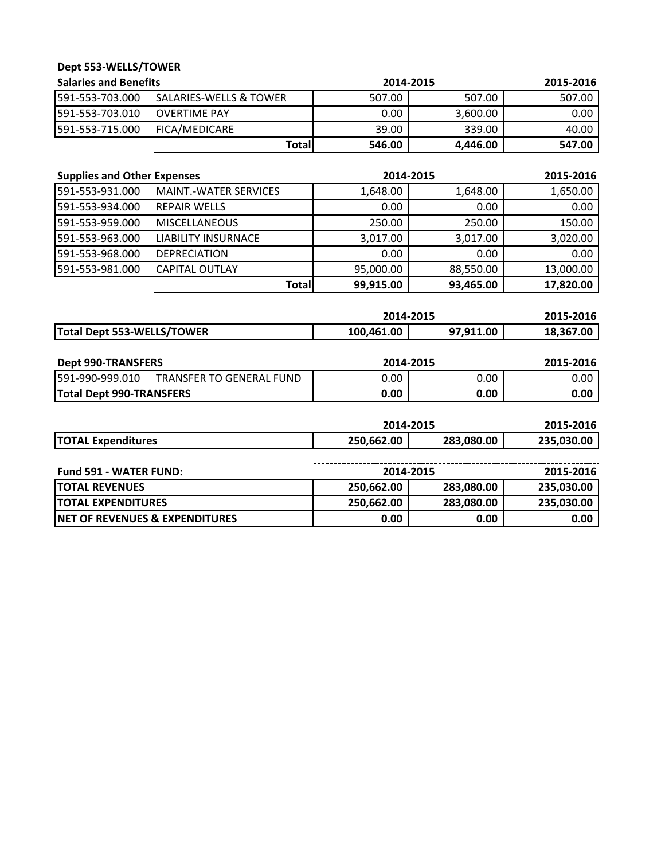| Dept 553-WELLS/TOWER               |                                   |            |           |           |
|------------------------------------|-----------------------------------|------------|-----------|-----------|
| <b>Salaries and Benefits</b>       |                                   | 2014-2015  |           | 2015-2016 |
| 591-553-703.000                    | <b>SALARIES-WELLS &amp; TOWER</b> | 507.00     | 507.00    | 507.00    |
| 591-553-703.010                    | <b>OVERTIME PAY</b>               | 0.00       | 3,600.00  | 0.00      |
| 591-553-715.000                    | FICA/MEDICARE                     | 39.00      | 339.00    | 40.00     |
|                                    | <b>Total</b>                      | 546.00     | 4,446.00  | 547.00    |
| <b>Supplies and Other Expenses</b> |                                   | 2014-2015  |           | 2015-2016 |
| 591-553-931.000                    | <b>MAINT.-WATER SERVICES</b>      | 1,648.00   | 1,648.00  | 1,650.00  |
| 591-553-934.000                    | <b>REPAIR WELLS</b>               | 0.00       | 0.00      | 0.00      |
| 591-553-959.000                    | <b>MISCELLANEOUS</b>              | 250.00     | 250.00    | 150.00    |
| 591-553-963.000                    | <b>LIABILITY INSURNACE</b>        | 3,017.00   | 3,017.00  | 3,020.00  |
| 591-553-968.000                    | <b>DEPRECIATION</b>               | 0.00       | 0.00      | 0.00      |
| 591-553-981.000                    | <b>CAPITAL OUTLAY</b>             | 95,000.00  | 88,550.00 | 13,000.00 |
|                                    | <b>Total</b>                      | 99,915.00  | 93,465.00 | 17,820.00 |
|                                    |                                   | 2014-2015  |           | 2015-2016 |
| Total Dept 553-WELLS/TOWER         |                                   | 100,461.00 | 97,911.00 | 18,367.00 |
| <b>Dept 990-TRANSFERS</b>          |                                   | 2014-2015  |           | 2015-2016 |
| 591-990-999.010                    | <b>TRANSFER TO GENERAL FUND</b>   | 0.00       | 0.00      | 0.00      |

|                           | 2014-2015  |            | 2015-2016  |
|---------------------------|------------|------------|------------|
| <b>TOTAL Expenditures</b> | 250.662.00 | 283,080.00 | 235,030.00 |
|                           |            |            |            |

**Total Dept 990‐TRANSFERS 0.00 0.00 0.00**

| <b>Fund 591 - WATER FUND:</b>              | 2014-2015  |            | 2015-2016  |
|--------------------------------------------|------------|------------|------------|
| <b>ITOTAL REVENUES</b>                     | 250,662.00 | 283,080.00 | 235,030.00 |
| <b>ITOTAL EXPENDITURES</b>                 | 250,662.00 | 283,080.00 | 235,030.00 |
| <b>INET OF REVENUES &amp; EXPENDITURES</b> | 0.00       | 0.00       | 0.00       |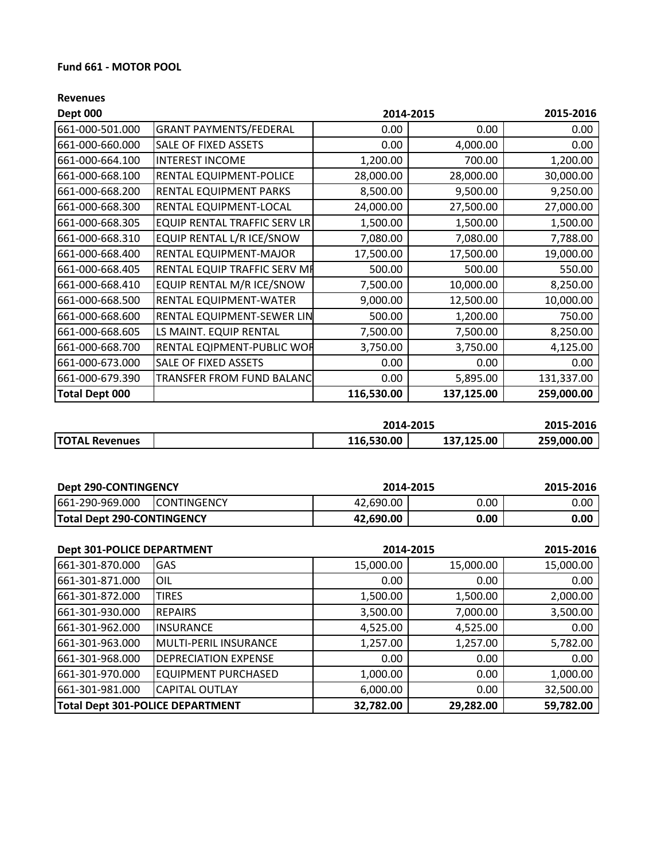### **Fund 661 ‐ MOTOR POOL**

| <b>Dept 000</b><br>2014-2015 |                                     |            | 2015-2016  |            |
|------------------------------|-------------------------------------|------------|------------|------------|
| 661-000-501.000              | <b>GRANT PAYMENTS/FEDERAL</b>       | 0.00       | 0.00       | 0.00       |
| 661-000-660.000              | SALE OF FIXED ASSETS                | 0.00       | 4,000.00   | 0.00       |
| 661-000-664.100              | <b>INTEREST INCOME</b>              | 1,200.00   | 700.00     | 1,200.00   |
| 661-000-668.100              | RENTAL EQUIPMENT-POLICE             | 28,000.00  | 28,000.00  | 30,000.00  |
| 661-000-668.200              | <b>RENTAL EQUIPMENT PARKS</b>       | 8,500.00   | 9,500.00   | 9,250.00   |
| 661-000-668.300              | RENTAL EQUIPMENT-LOCAL              | 24,000.00  | 27,500.00  | 27,000.00  |
| 661-000-668.305              | <b>EQUIP RENTAL TRAFFIC SERV LR</b> | 1,500.00   | 1,500.00   | 1,500.00   |
| 661-000-668.310              | EQUIP RENTAL L/R ICE/SNOW           | 7,080.00   | 7,080.00   | 7,788.00   |
| 661-000-668.400              | RENTAL EQUIPMENT-MAJOR              | 17,500.00  | 17,500.00  | 19,000.00  |
| 661-000-668.405              | RENTAL EQUIP TRAFFIC SERV MF        | 500.00     | 500.00     | 550.00     |
| 661-000-668.410              | EQUIP RENTAL M/R ICE/SNOW           | 7,500.00   | 10,000.00  | 8,250.00   |
| 661-000-668.500              | RENTAL EQUIPMENT-WATER              | 9,000.00   | 12,500.00  | 10,000.00  |
| 661-000-668.600              | RENTAL EQUIPMENT-SEWER LIN          | 500.00     | 1,200.00   | 750.00     |
| 661-000-668.605              | LS MAINT. EQUIP RENTAL              | 7,500.00   | 7,500.00   | 8,250.00   |
| 661-000-668.700              | RENTAL EQIPMENT-PUBLIC WOR          | 3,750.00   | 3,750.00   | 4,125.00   |
| 661-000-673.000              | SALE OF FIXED ASSETS                | 0.00       | 0.00       | 0.00       |
| 661-000-679.390              | TRANSFER FROM FUND BALANC           | 0.00       | 5,895.00   | 131,337.00 |
| <b>Total Dept 000</b>        |                                     | 116,530.00 | 137,125.00 | 259,000.00 |

|                       | 2014-2015  | 2015-2016  |            |
|-----------------------|------------|------------|------------|
| <b>TOTAL Revenues</b> | 116,530.00 | 137,125.00 | 259,000.00 |

| <b>Dept 290-CONTINGENCY</b>       |                     | 2014-2015 |      | 2015-2016 |
|-----------------------------------|---------------------|-----------|------|-----------|
| 661-290-969.000                   | <b>ICONTINGENCY</b> | 42.690.00 | 0.00 | 0.00 I    |
| <b>Total Dept 290-CONTINGENCY</b> |                     | 42.690.00 | 0.00 | 0.00      |

| <b>Dept 301-POLICE DEPARTMENT</b>       |                              |           | 2014-2015 | 2015-2016 |
|-----------------------------------------|------------------------------|-----------|-----------|-----------|
| 661-301-870.000                         | <b>GAS</b>                   | 15,000.00 | 15,000.00 | 15,000.00 |
| 661-301-871.000                         | IOIL                         | 0.00      | 0.00      | 0.00      |
| 661-301-872.000                         | <b>TIRES</b>                 | 1,500.00  | 1,500.00  | 2,000.00  |
| 661-301-930.000                         | <b>REPAIRS</b>               | 3,500.00  | 7,000.00  | 3,500.00  |
| 661-301-962.000                         | <b>INSURANCE</b>             | 4,525.00  | 4,525.00  | 0.00      |
| 661-301-963.000                         | <b>MULTI-PERIL INSURANCE</b> | 1,257.00  | 1,257.00  | 5,782.00  |
| 661-301-968.000                         | <b>DEPRECIATION EXPENSE</b>  | 0.00      | 0.00      | 0.00      |
| 661-301-970.000                         | <b>EQUIPMENT PURCHASED</b>   | 1,000.00  | 0.00      | 1,000.00  |
| 661-301-981.000                         | <b>CAPITAL OUTLAY</b>        | 6,000.00  | 0.00      | 32,500.00 |
| <b>Total Dept 301-POLICE DEPARTMENT</b> |                              | 32,782.00 | 29,282.00 | 59,782.00 |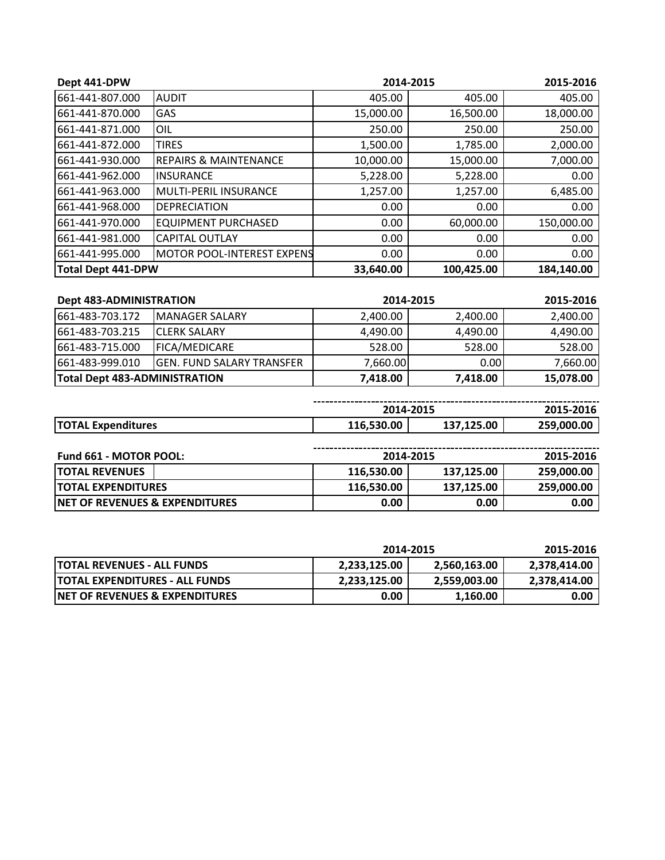| Dept 441-DPW              |                                    | 2014-2015 |            | 2015-2016  |
|---------------------------|------------------------------------|-----------|------------|------------|
| 661-441-807.000           | <b>AUDIT</b>                       | 405.00    | 405.00     | 405.00     |
| 661-441-870.000           | <b>GAS</b>                         | 15,000.00 | 16,500.00  | 18,000.00  |
| 661-441-871.000           | OIL                                | 250.00    | 250.00     | 250.00     |
| 661-441-872.000           | <b>TIRES</b>                       | 1,500.00  | 1,785.00   | 2,000.00   |
| 661-441-930.000           | <b>REPAIRS &amp; MAINTENANCE</b>   | 10,000.00 | 15,000.00  | 7,000.00   |
| 661-441-962.000           | <b>INSURANCE</b>                   | 5,228.00  | 5,228.00   | 0.00       |
| 661-441-963.000           | lMULTI-PERIL INSURANCE             | 1,257.00  | 1,257.00   | 6,485.00   |
| 661-441-968.000           | DEPRECIATION                       | 0.00      | 0.00       | 0.00       |
| 661-441-970.000           | <b>EQUIPMENT PURCHASED</b>         | 0.00      | 60,000.00  | 150,000.00 |
| 661-441-981.000           | <b>CAPITAL OUTLAY</b>              | 0.00      | 0.00       | 0.00       |
| 661-441-995.000           | <b>IMOTOR POOL-INTEREST EXPENS</b> | 0.00      | 0.00       | 0.00       |
| <b>Total Dept 441-DPW</b> |                                    | 33,640.00 | 100,425.00 | 184,140.00 |

| <b>Dept 483-ADMINISTRATION</b><br>2014-2015 |                                   | 2015-2016 |          |           |
|---------------------------------------------|-----------------------------------|-----------|----------|-----------|
| 1661-483-703.172                            | <b>IMANAGER SALARY</b>            | 2,400.00  | 2,400.00 | 2,400.00  |
| 1661-483-703.215                            | <b>ICLERK SALARY</b>              | 4,490.00  | 4,490.00 | 4,490.00  |
| 661-483-715.000                             | <b>IFICA/MEDICARE</b>             | 528.00    | 528.00   | 528.00    |
| 661-483-999.010                             | <b>IGEN. FUND SALARY TRANSFER</b> | 7,660.00  | 0.00     | 7,660.00  |
| <b>Total Dept 483-ADMINISTRATION</b>        |                                   | 7,418.00  | 7,418.00 | 15,078.00 |

|                                 |      | 2014-2015 | <b>SATO</b>        |  |
|---------------------------------|------|-----------|--------------------|--|
| <b>TO1</b><br>ንTAL Expenditures | 0.00 | 25.00     | .00<br>ס בר<br>25. |  |

| <b>Fund 661 - MOTOR POOL:</b>              |            | 2014-2015         |            |
|--------------------------------------------|------------|-------------------|------------|
| <b>ITOTAL REVENUES</b>                     | 116,530.00 | 137,125.00        | 259,000.00 |
| <b>ITOTAL EXPENDITURES</b>                 | 116,530.00 | 137.125.00        | 259,000.00 |
| <b>INET OF REVENUES &amp; EXPENDITURES</b> | 0.00       | 0.00 <sub>1</sub> | 0.00       |

|                                            | 2014-2015    |              | 2015-2016    |  |
|--------------------------------------------|--------------|--------------|--------------|--|
| <b>ITOTAL REVENUES - ALL FUNDS</b>         | 2,233,125.00 | 2,560,163.00 | 2,378,414.00 |  |
| <b>ITOTAL EXPENDITURES - ALL FUNDS</b>     | 2,233,125.00 | 2.559.003.00 | 2.378.414.00 |  |
| <b>INET OF REVENUES &amp; EXPENDITURES</b> | 0.00         | 1,160.00     | 0.00         |  |